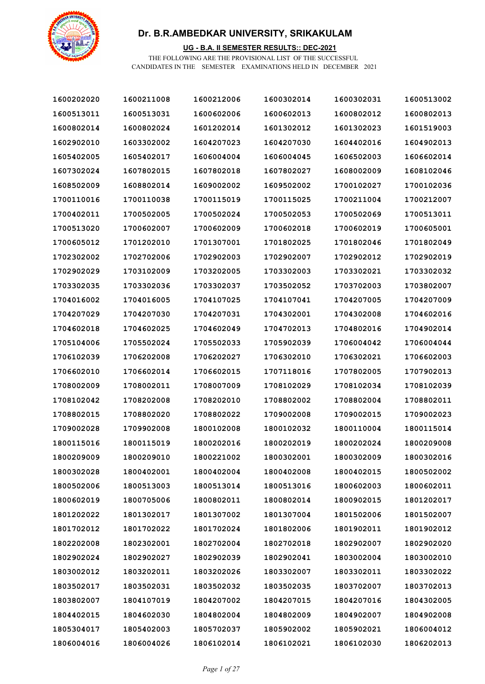

### **UG - B.A. II SEMESTER RESULTS:: DEC-2021**

| 1600202020 | 1600211008 | 1600212006 | 1600302014 | 1600302031 | 1600513002 |
|------------|------------|------------|------------|------------|------------|
| 1600513011 | 1600513031 | 1600602006 | 1600602013 | 1600802012 | 1600802013 |
| 1600802014 | 1600802024 | 1601202014 | 1601302012 | 1601302023 | 1601519003 |
| 1602902010 | 1603302002 | 1604207023 | 1604207030 | 1604402016 | 1604902013 |
| 1605402005 | 1605402017 | 1606004004 | 1606004045 | 1606502003 | 1606602014 |
| 1607302024 | 1607802015 | 1607802018 | 1607802027 | 1608002009 | 1608102046 |
| 1608502009 | 1608802014 | 1609002002 | 1609502002 | 1700102027 | 1700102036 |
| 1700110016 | 1700110038 | 1700115019 | 1700115025 | 1700211004 | 1700212007 |
| 1700402011 | 1700502005 | 1700502024 | 1700502053 | 1700502069 | 1700513011 |
| 1700513020 | 1700602007 | 1700602009 | 1700602018 | 1700602019 | 1700605001 |
| 1700605012 | 1701202010 | 1701307001 | 1701802025 | 1701802046 | 1701802049 |
| 1702302002 | 1702702006 | 1702902003 | 1702902007 | 1702902012 | 1702902019 |
| 1702902029 | 1703102009 | 1703202005 | 1703302003 | 1703302021 | 1703302032 |
| 1703302035 | 1703302036 | 1703302037 | 1703502052 | 1703702003 | 1703802007 |
| 1704016002 | 1704016005 | 1704107025 | 1704107041 | 1704207005 | 1704207009 |
| 1704207029 | 1704207030 | 1704207031 | 1704302001 | 1704302008 | 1704602016 |
| 1704602018 | 1704602025 | 1704602049 | 1704702013 | 1704802016 | 1704902014 |
| 1705104006 | 1705502024 | 1705502033 | 1705902039 | 1706004042 | 1706004044 |
| 1706102039 | 1706202008 | 1706202027 | 1706302010 | 1706302021 | 1706602003 |
| 1706602010 | 1706602014 | 1706602015 | 1707118016 | 1707802005 | 1707902013 |
| 1708002009 | 1708002011 | 1708007009 | 1708102029 | 1708102034 | 1708102039 |
| 1708102042 | 1708202008 | 1708202010 | 1708802002 | 1708802004 | 1708802011 |
| 1708802015 | 1708802020 | 1708802022 | 1709002008 | 1709002015 | 1709002023 |
| 1709002028 | 1709902008 | 1800102008 | 1800102032 | 1800110004 | 1800115014 |
| 1800115016 | 1800115019 | 1800202016 | 1800202019 | 1800202024 | 1800209008 |
| 1800209009 | 1800209010 | 1800221002 | 1800302001 | 1800302009 | 1800302016 |
| 1800302028 | 1800402001 | 1800402004 | 1800402008 | 1800402015 | 1800502002 |
| 1800502006 | 1800513003 | 1800513014 | 1800513016 | 1800602003 | 1800602011 |
| 1800602019 | 1800705006 | 1800802011 | 1800802014 | 1800902015 | 1801202017 |
| 1801202022 | 1801302017 | 1801307002 | 1801307004 | 1801502006 | 1801502007 |
| 1801702012 | 1801702022 | 1801702024 | 1801802006 | 1801902011 | 1801902012 |
| 1802202008 | 1802302001 | 1802702004 | 1802702018 | 1802902007 | 1802902020 |
| 1802902024 | 1802902027 | 1802902039 | 1802902041 | 1803002004 | 1803002010 |
| 1803002012 | 1803202011 | 1803202026 | 1803302007 | 1803302011 | 1803302022 |
| 1803502017 | 1803502031 | 1803502032 | 1803502035 | 1803702007 | 1803702013 |
| 1803802007 | 1804107019 | 1804207002 | 1804207015 | 1804207016 | 1804302005 |
| 1804402015 | 1804602030 | 1804802004 | 1804802009 | 1804902007 | 1804902008 |
| 1805304017 | 1805402003 | 1805702037 | 1805902002 | 1805902021 | 1806004012 |
| 1806004016 | 1806004026 | 1806102014 | 1806102021 | 1806102030 | 1806202013 |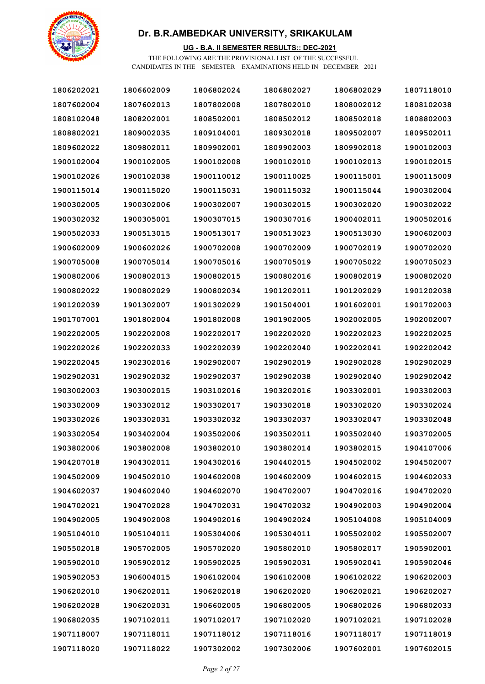

#### **UG - B.A. II SEMESTER RESULTS:: DEC-2021**

| 1806202021 | 1806602009 | 1806802024 | 1806802027 | 1806802029 | 1807118010 |
|------------|------------|------------|------------|------------|------------|
| 1807602004 | 1807602013 | 1807802008 | 1807802010 | 1808002012 | 1808102038 |
| 1808102048 | 1808202001 | 1808502001 | 1808502012 | 1808502018 | 1808802003 |
| 1808802021 | 1809002035 | 1809104001 | 1809302018 | 1809502007 | 1809502011 |
| 1809602022 | 1809802011 | 1809902001 | 1809902003 | 1809902018 | 1900102003 |
| 1900102004 | 1900102005 | 1900102008 | 1900102010 | 1900102013 | 1900102015 |
| 1900102026 | 1900102038 | 1900110012 | 1900110025 | 1900115001 | 1900115009 |
| 1900115014 | 1900115020 | 1900115031 | 1900115032 | 1900115044 | 1900302004 |
| 1900302005 | 1900302006 | 1900302007 | 1900302015 | 1900302020 | 1900302022 |
| 1900302032 | 1900305001 | 1900307015 | 1900307016 | 1900402011 | 1900502016 |
| 1900502033 | 1900513015 | 1900513017 | 1900513023 | 1900513030 | 1900602003 |
| 1900602009 | 1900602026 | 1900702008 | 1900702009 | 1900702019 | 1900702020 |
| 1900705008 | 1900705014 | 1900705016 | 1900705019 | 1900705022 | 1900705023 |
| 1900802006 | 1900802013 | 1900802015 | 1900802016 | 1900802019 | 1900802020 |
| 1900802022 | 1900802029 | 1900802034 | 1901202011 | 1901202029 | 1901202038 |
| 1901202039 | 1901302007 | 1901302029 | 1901504001 | 1901602001 | 1901702003 |
| 1901707001 | 1901802004 | 1901802008 | 1901902005 | 1902002005 | 1902002007 |
| 1902202005 | 1902202008 | 1902202017 | 1902202020 | 1902202023 | 1902202025 |
| 1902202026 | 1902202033 | 1902202039 | 1902202040 | 1902202041 | 1902202042 |
| 1902202045 | 1902302016 | 1902902007 | 1902902019 | 1902902028 | 1902902029 |
| 1902902031 | 1902902032 | 1902902037 | 1902902038 | 1902902040 | 1902902042 |
| 1903002003 | 1903002015 | 1903102016 | 1903202016 | 1903302001 | 1903302003 |
| 1903302009 | 1903302012 | 1903302017 | 1903302018 | 1903302020 | 1903302024 |
| 1903302026 | 1903302031 | 1903302032 | 1903302037 | 1903302047 | 1903302048 |
| 1903302054 | 1903402004 | 1903502006 | 1903502011 | 1903502040 | 1903702005 |
| 1903802006 | 1903802008 | 1903802010 | 1903802014 | 1903802015 | 1904107006 |
| 1904207018 | 1904302011 | 1904302016 | 1904402015 | 1904502002 | 1904502007 |
| 1904502009 | 1904502010 | 1904602008 | 1904602009 | 1904602015 | 1904602033 |
| 1904602037 | 1904602040 | 1904602070 | 1904702007 | 1904702016 | 1904702020 |
| 1904702021 | 1904702028 | 1904702031 | 1904702032 | 1904902003 | 1904902004 |
| 1904902005 | 1904902008 | 1904902016 | 1904902024 | 1905104008 | 1905104009 |
| 1905104010 | 1905104011 | 1905304006 | 1905304011 | 1905502002 | 1905502007 |
| 1905502018 | 1905702005 | 1905702020 | 1905802010 | 1905802017 | 1905902001 |
| 1905902010 | 1905902012 | 1905902025 | 1905902031 | 1905902041 | 1905902046 |
| 1905902053 | 1906004015 | 1906102004 | 1906102008 | 1906102022 | 1906202003 |
| 1906202010 | 1906202011 | 1906202018 | 1906202020 | 1906202021 | 1906202027 |
| 1906202028 | 1906202031 | 1906602005 | 1906802005 | 1906802026 | 1906802033 |
| 1906802035 | 1907102011 | 1907102017 | 1907102020 | 1907102021 | 1907102028 |
| 1907118007 | 1907118011 | 1907118012 | 1907118016 | 1907118017 | 1907118019 |
| 1907118020 | 1907118022 | 1907302002 | 1907302006 | 1907602001 | 1907602015 |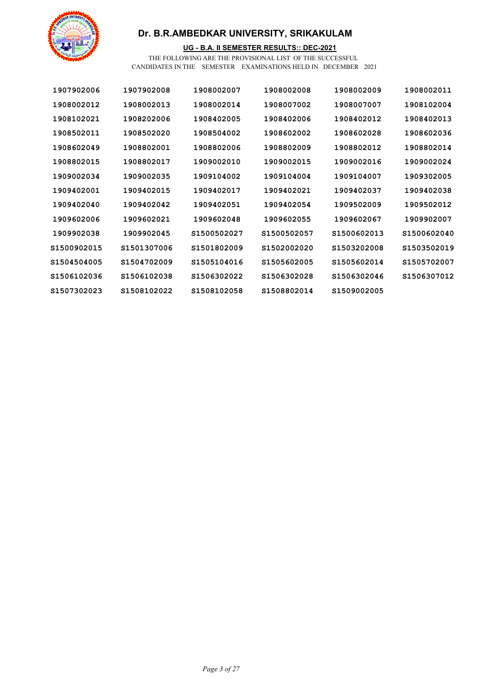

### **UG - B.A. II SEMESTER RESULTS:: DEC-2021**

| 1907902006   | 1907902008   | 1908002007   | 1908002008   | 1908002009   | 1908002011   |
|--------------|--------------|--------------|--------------|--------------|--------------|
| 1908002012   | 1908002013   | 1908002014   | 1908007002   | 1908007007   | 1908102004   |
| 1908102021   | 1908202006   | 1908402005   | 1908402006   | 1908402012   | 1908402013   |
| 1908502011   | 1908502020   | 1908504002   | 1908602002   | 1908602028   | 1908602036   |
| 1908602049   | 1908802001   | 1908802006   | 1908802009   | 1908802012   | 1908802014   |
| 1908802015   | 1908802017   | 1909002010   | 1909002015   | 1909002016   | 1909002024   |
| 1909002034   | 1909002035   | 1909104002   | 1909104004   | 1909104007   | 1909302005   |
| 1909402001   | 1909402015   | 1909402017   | 1909402021   | 1909402037   | 1909402038   |
| 1909402040   | 1909402042   | 1909402051   | 1909402054   | 1909502009   | 1909502012   |
| 1909602006   | 1909602021   | 1909602048   | 1909602055   | 1909602067   | 1909902007   |
| 1909902038   | 1909902045   | S1500502027  | \$1500502057 | \$1500602013 | \$1500602040 |
| \$1500902015 | \$1501307006 | S1501802009  | \$1502002020 | \$1503202008 | \$1503502019 |
| \$1504504005 | S1504702009  | \$1505104016 | \$1505602005 | \$1505602014 | S1505702007  |
| \$1506102036 | \$1506102038 | S1506302022  | \$1506302028 | \$1506302046 | \$1506307012 |
| \$1507302023 | S1508102022  | \$1508102058 | S1508802014  | \$1509002005 |              |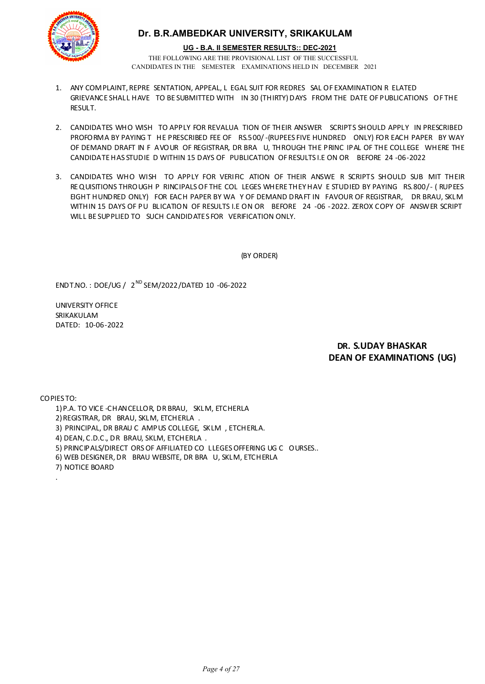

#### **UG - B.A. II SEMESTER RESULTS:: DEC-2021**

THE FOLLOWING ARE THE PROVISIONAL LIST OF THE SUCCESSFUL CANDIDATES IN THE SEMESTER EXAMINATIONS HELD IN DECEMBER 2021

- 1. ANY COMPLAINT, REPRE SENTATION, APPEAL, L EGAL SUIT FOR REDRES SAL OF EXAMINATION R ELATED GRIEVANCE SHALL HAVE TO BE SUBMITTED WITH IN 30 (THIRTY) DAYS FROM THE DATE OF PUBLICATIONS OF THE **RESULT.**
- 2. CANDIDATES WHO WISH TO APPLY FOR REVALUA TION OF THEIR ANSWER SCRIPTS SHOULD APPLY IN PRESCRIBED PROFORMA BY PAYING T HE PRESCRIBED FEE OF RS.500/-(RUPEES FIVE HUNDRED ONLY) FOR EACH PAPER BY WAY OF DEMAND DRAFT IN F AVOUR OF REGISTRAR, DR BRA U, THROUGH THE PRINC IPAL OF THE COLLEGE WHERE THE CANDIDATE HAS STUDIE D WITHIN 15 DAYS OF PUBLICATION OF RESULTS I.E ON OR BEFORE 24 -06-2022
- 3. CANDIDATES WHO WISH TO APPLY FOR VERIFIC ATION OF THEIR ANSWE R SCRIPTS SHOULD SUB MIT THEIR REQUISITIONS THROUGH P RINCIPALS OF THE COL LEGES WHERE THEY HAV E STUDIED BY PAYING RS.800/- ( RUPEES EIGHT HUNDRED ONLY) FOR EACH PAPER BY WA Y OF DEMAND DRAFT IN FAVOUR OF REGISTRAR, DR BRAU, SKLM WITHIN 15 DAYS OF PU BLICATION OF RESULTS I.E ON OR BEFORE 24 -06 -2022. ZEROX COPY OF ANSWER SCRIPT WILL BE SUPPLIED TO SUCH CANDIDATES FOR VERIFICATION ONLY.

(BY ORDER)

ENDT.NO. : DOE/UG / 2 ND SEM/2022/DATED 10 -06-2022

UNIVERSITY OFFICE SRIKAKULAM DATED: 10-06-2022

### **DR. S.UDAY BHASKAR DEAN OF EXAMINATIONS (UG)**

COPIES TO:

.

- 1)P.A. TO VICE -CHANCELLOR, DR BRAU, SKLM, ETCHERLA
- 2)REGISTRAR, DR BRAU, SKLM, ETCHERLA .
- 3) PRINCIPAL, DR BRAU C AMPUS COLLEGE, SKLM , ETCHERLA.
- 4) DEAN, C.D.C., DR BRAU, SKLM, ETCHERLA .
- 5) PRINCIPALS/DIRECT ORS OF AFFILIATED CO LLEGES OFFERING UG C OURSES..
- 6) WEB DESIGNER, DR BRAU WEBSITE, DR BRA U, SKLM, ETCHERLA
- 7) NOTICE BOARD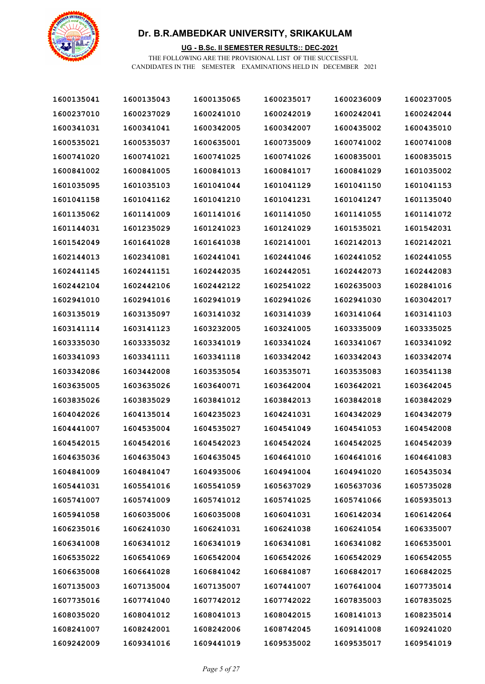

### **UG - B.Sc. II SEMESTER RESULTS:: DEC-2021**

| 1600135041 | 1600135043 | 1600135065 | 1600235017 | 1600236009 | 1600237005 |
|------------|------------|------------|------------|------------|------------|
| 1600237010 | 1600237029 | 1600241010 | 1600242019 | 1600242041 | 1600242044 |
| 1600341031 | 1600341041 | 1600342005 | 1600342007 | 1600435002 | 1600435010 |
| 1600535021 | 1600535037 | 1600635001 | 1600735009 | 1600741002 | 1600741008 |
| 1600741020 | 1600741021 | 1600741025 | 1600741026 | 1600835001 | 1600835015 |
| 1600841002 | 1600841005 | 1600841013 | 1600841017 | 1600841029 | 1601035002 |
| 1601035095 | 1601035103 | 1601041044 | 1601041129 | 1601041150 | 1601041153 |
| 1601041158 | 1601041162 | 1601041210 | 1601041231 | 1601041247 | 1601135040 |
| 1601135062 | 1601141009 | 1601141016 | 1601141050 | 1601141055 | 1601141072 |
| 1601144031 | 1601235029 | 1601241023 | 1601241029 | 1601535021 | 1601542031 |
| 1601542049 | 1601641028 | 1601641038 | 1602141001 | 1602142013 | 1602142021 |
| 1602144013 | 1602341081 | 1602441041 | 1602441046 | 1602441052 | 1602441055 |
| 1602441145 | 1602441151 | 1602442035 | 1602442051 | 1602442073 | 1602442083 |
| 1602442104 | 1602442106 | 1602442122 | 1602541022 | 1602635003 | 1602841016 |
| 1602941010 | 1602941016 | 1602941019 | 1602941026 | 1602941030 | 1603042017 |
| 1603135019 | 1603135097 | 1603141032 | 1603141039 | 1603141064 | 1603141103 |
| 1603141114 | 1603141123 | 1603232005 | 1603241005 | 1603335009 | 1603335025 |
| 1603335030 | 1603335032 | 1603341019 | 1603341024 | 1603341067 | 1603341092 |
| 1603341093 | 1603341111 | 1603341118 | 1603342042 | 1603342043 | 1603342074 |
| 1603342086 | 1603442008 | 1603535054 | 1603535071 | 1603535083 | 1603541138 |
| 1603635005 | 1603635026 | 1603640071 | 1603642004 | 1603642021 | 1603642045 |
| 1603835026 | 1603835029 | 1603841012 | 1603842013 | 1603842018 | 1603842029 |
| 1604042026 | 1604135014 | 1604235023 | 1604241031 | 1604342029 | 1604342079 |
| 1604441007 | 1604535004 | 1604535027 | 1604541049 | 1604541053 | 1604542008 |
| 1604542015 | 1604542016 | 1604542023 | 1604542024 | 1604542025 | 1604542039 |
| 1604635036 | 1604635043 | 1604635045 | 1604641010 | 1604641016 | 1604641083 |
| 1604841009 | 1604841047 | 1604935006 | 1604941004 | 1604941020 | 1605435034 |
| 1605441031 | 1605541016 | 1605541059 | 1605637029 | 1605637036 | 1605735028 |
| 1605741007 | 1605741009 | 1605741012 | 1605741025 | 1605741066 | 1605935013 |
| 1605941058 | 1606035006 | 1606035008 | 1606041031 | 1606142034 | 1606142064 |
| 1606235016 | 1606241030 | 1606241031 | 1606241038 | 1606241054 | 1606335007 |
| 1606341008 | 1606341012 | 1606341019 | 1606341081 | 1606341082 | 1606535001 |
| 1606535022 | 1606541069 | 1606542004 | 1606542026 | 1606542029 | 1606542055 |
| 1606635008 | 1606641028 | 1606841042 | 1606841087 | 1606842017 | 1606842025 |
| 1607135003 | 1607135004 | 1607135007 | 1607441007 | 1607641004 | 1607735014 |
| 1607735016 | 1607741040 | 1607742012 | 1607742022 | 1607835003 | 1607835025 |
| 1608035020 | 1608041012 | 1608041013 | 1608042015 | 1608141013 | 1608235014 |
| 1608241007 | 1608242001 | 1608242006 | 1608742045 | 1609141008 | 1609241020 |
| 1609242009 | 1609341016 | 1609441019 | 1609535002 | 1609535017 | 1609541019 |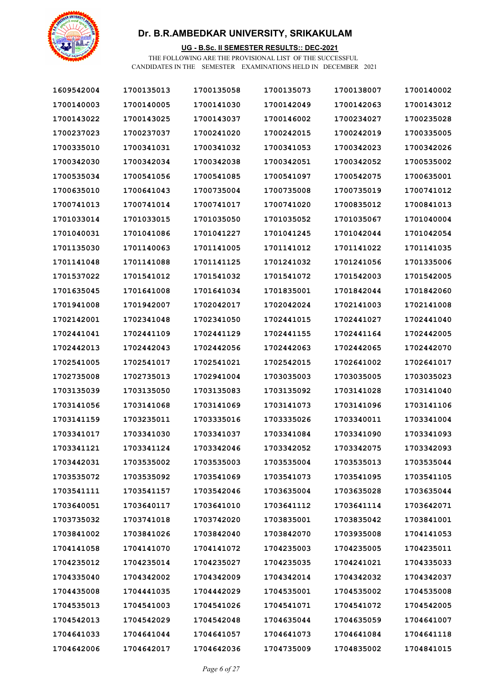

### **UG - B.Sc. II SEMESTER RESULTS:: DEC-2021**

| 1609542004 | 1700135013 | 1700135058 | 1700135073 | 1700138007 | 1700140002 |
|------------|------------|------------|------------|------------|------------|
| 1700140003 | 1700140005 | 1700141030 | 1700142049 | 1700142063 | 1700143012 |
| 1700143022 | 1700143025 | 1700143037 | 1700146002 | 1700234027 | 1700235028 |
| 1700237023 | 1700237037 | 1700241020 | 1700242015 | 1700242019 | 1700335005 |
| 1700335010 | 1700341031 | 1700341032 | 1700341053 | 1700342023 | 1700342026 |
| 1700342030 | 1700342034 | 1700342038 | 1700342051 | 1700342052 | 1700535002 |
| 1700535034 | 1700541056 | 1700541085 | 1700541097 | 1700542075 | 1700635001 |
| 1700635010 | 1700641043 | 1700735004 | 1700735008 | 1700735019 | 1700741012 |
| 1700741013 | 1700741014 | 1700741017 | 1700741020 | 1700835012 | 1700841013 |
| 1701033014 | 1701033015 | 1701035050 | 1701035052 | 1701035067 | 1701040004 |
| 1701040031 | 1701041086 | 1701041227 | 1701041245 | 1701042044 | 1701042054 |
| 1701135030 | 1701140063 | 1701141005 | 1701141012 | 1701141022 | 1701141035 |
| 1701141048 | 1701141088 | 1701141125 | 1701241032 | 1701241056 | 1701335006 |
| 1701537022 | 1701541012 | 1701541032 | 1701541072 | 1701542003 | 1701542005 |
| 1701635045 | 1701641008 | 1701641034 | 1701835001 | 1701842044 | 1701842060 |
| 1701941008 | 1701942007 | 1702042017 | 1702042024 | 1702141003 | 1702141008 |
| 1702142001 | 1702341048 | 1702341050 | 1702441015 | 1702441027 | 1702441040 |
| 1702441041 | 1702441109 | 1702441129 | 1702441155 | 1702441164 | 1702442005 |
| 1702442013 | 1702442043 | 1702442056 | 1702442063 | 1702442065 | 1702442070 |
| 1702541005 | 1702541017 | 1702541021 | 1702542015 | 1702641002 | 1702641017 |
| 1702735008 | 1702735013 | 1702941004 | 1703035003 | 1703035005 | 1703035023 |
| 1703135039 | 1703135050 | 1703135083 | 1703135092 | 1703141028 | 1703141040 |
| 1703141056 | 1703141068 | 1703141069 | 1703141073 | 1703141096 | 1703141106 |
| 1703141159 | 1703235011 | 1703335016 | 1703335026 | 1703340011 | 1703341004 |
| 1703341017 | 1703341030 | 1703341037 | 1703341084 | 1703341090 | 1703341093 |
| 1703341121 | 1703341124 | 1703342046 | 1703342052 | 1703342075 | 1703342093 |
| 1703442031 | 1703535002 | 1703535003 | 1703535004 | 1703535013 | 1703535044 |
| 1703535072 | 1703535092 | 1703541069 | 1703541073 | 1703541095 | 1703541105 |
| 1703541111 | 1703541157 | 1703542046 | 1703635004 | 1703635028 | 1703635044 |
| 1703640051 | 1703640117 | 1703641010 | 1703641112 | 1703641114 | 1703642071 |
| 1703735032 | 1703741018 | 1703742020 | 1703835001 | 1703835042 | 1703841001 |
| 1703841002 | 1703841026 | 1703842040 | 1703842070 | 1703935008 | 1704141053 |
| 1704141058 | 1704141070 | 1704141072 | 1704235003 | 1704235005 | 1704235011 |
| 1704235012 | 1704235014 | 1704235027 | 1704235035 | 1704241021 | 1704335033 |
| 1704335040 | 1704342002 | 1704342009 | 1704342014 | 1704342032 | 1704342037 |
| 1704435008 | 1704441035 | 1704442029 | 1704535001 | 1704535002 | 1704535008 |
| 1704535013 | 1704541003 | 1704541026 | 1704541071 | 1704541072 | 1704542005 |
| 1704542013 | 1704542029 | 1704542048 | 1704635044 | 1704635059 | 1704641007 |
| 1704641033 | 1704641044 | 1704641057 | 1704641073 | 1704641084 | 1704641118 |
| 1704642006 | 1704642017 | 1704642036 | 1704735009 | 1704835002 | 1704841015 |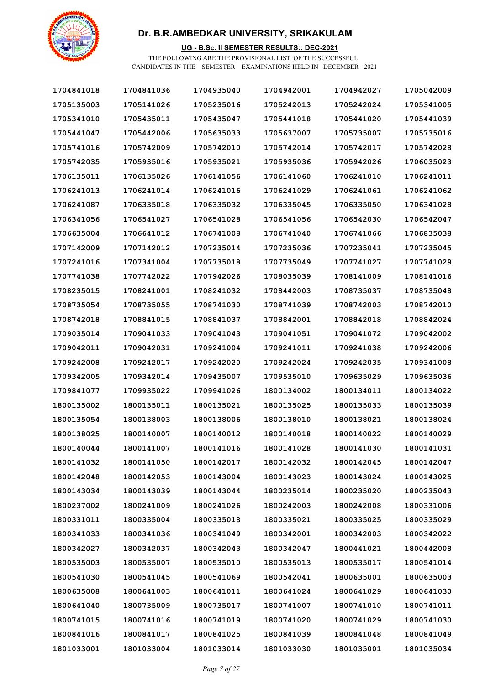

### **UG - B.Sc. II SEMESTER RESULTS:: DEC-2021**

| 1704841018 | 1704841036 | 1704935040 | 1704942001 | 1704942027 | 1705042009 |
|------------|------------|------------|------------|------------|------------|
| 1705135003 | 1705141026 | 1705235016 | 1705242013 | 1705242024 | 1705341005 |
| 1705341010 | 1705435011 | 1705435047 | 1705441018 | 1705441020 | 1705441039 |
| 1705441047 | 1705442006 | 1705635033 | 1705637007 | 1705735007 | 1705735016 |
| 1705741016 | 1705742009 | 1705742010 | 1705742014 | 1705742017 | 1705742028 |
| 1705742035 | 1705935016 | 1705935021 | 1705935036 | 1705942026 | 1706035023 |
| 1706135011 | 1706135026 | 1706141056 | 1706141060 | 1706241010 | 1706241011 |
| 1706241013 | 1706241014 | 1706241016 | 1706241029 | 1706241061 | 1706241062 |
| 1706241087 | 1706335018 | 1706335032 | 1706335045 | 1706335050 | 1706341028 |
| 1706341056 | 1706541027 | 1706541028 | 1706541056 | 1706542030 | 1706542047 |
| 1706635004 | 1706641012 | 1706741008 | 1706741040 | 1706741066 | 1706835038 |
| 1707142009 | 1707142012 | 1707235014 | 1707235036 | 1707235041 | 1707235045 |
| 1707241016 | 1707341004 | 1707735018 | 1707735049 | 1707741027 | 1707741029 |
| 1707741038 | 1707742022 | 1707942026 | 1708035039 | 1708141009 | 1708141016 |
| 1708235015 | 1708241001 | 1708241032 | 1708442003 | 1708735037 | 1708735048 |
| 1708735054 | 1708735055 | 1708741030 | 1708741039 | 1708742003 | 1708742010 |
| 1708742018 | 1708841015 | 1708841037 | 1708842001 | 1708842018 | 1708842024 |
| 1709035014 | 1709041033 | 1709041043 | 1709041051 | 1709041072 | 1709042002 |
| 1709042011 | 1709042031 | 1709241004 | 1709241011 | 1709241038 | 1709242006 |
| 1709242008 | 1709242017 | 1709242020 | 1709242024 | 1709242035 | 1709341008 |
| 1709342005 | 1709342014 | 1709435007 | 1709535010 | 1709635029 | 1709635036 |
| 1709841077 | 1709935022 | 1709941026 | 1800134002 | 1800134011 | 1800134022 |
| 1800135002 | 1800135011 | 1800135021 | 1800135025 | 1800135033 | 1800135039 |
| 1800135054 | 1800138003 | 1800138006 | 1800138010 | 1800138021 | 1800138024 |
| 1800138025 | 1800140007 | 1800140012 | 1800140018 | 1800140022 | 1800140029 |
| 1800140044 | 1800141007 | 1800141016 | 1800141028 | 1800141030 | 1800141031 |
| 1800141032 | 1800141050 | 1800142017 | 1800142032 | 1800142045 | 1800142047 |
| 1800142048 | 1800142053 | 1800143004 | 1800143023 | 1800143024 | 1800143025 |
| 1800143034 | 1800143039 | 1800143044 | 1800235014 | 1800235020 | 1800235043 |
| 1800237002 | 1800241009 | 1800241026 | 1800242003 | 1800242008 | 1800331006 |
| 1800331011 | 1800335004 | 1800335018 | 1800335021 | 1800335025 | 1800335029 |
| 1800341033 | 1800341036 | 1800341049 | 1800342001 | 1800342003 | 1800342022 |
| 1800342027 | 1800342037 | 1800342043 | 1800342047 | 1800441021 | 1800442008 |
| 1800535003 | 1800535007 | 1800535010 | 1800535013 | 1800535017 | 1800541014 |
| 1800541030 | 1800541045 | 1800541069 | 1800542041 | 1800635001 | 1800635003 |
| 1800635008 | 1800641003 | 1800641011 | 1800641024 | 1800641029 | 1800641030 |
| 1800641040 | 1800735009 | 1800735017 | 1800741007 | 1800741010 | 1800741011 |
| 1800741015 | 1800741016 | 1800741019 | 1800741020 | 1800741029 | 1800741030 |
| 1800841016 | 1800841017 | 1800841025 | 1800841039 | 1800841048 | 1800841049 |
| 1801033001 | 1801033004 | 1801033014 | 1801033030 | 1801035001 | 1801035034 |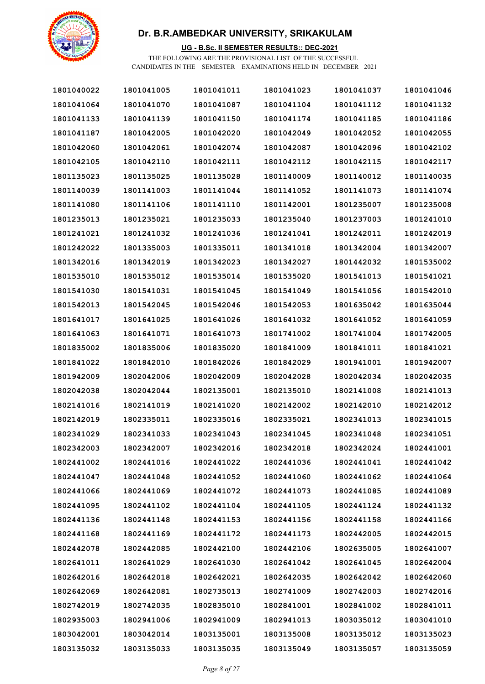

### **UG - B.Sc. II SEMESTER RESULTS:: DEC-2021**

| 1801040022 | 1801041005 | 1801041011 | 1801041023 | 1801041037 | 1801041046 |
|------------|------------|------------|------------|------------|------------|
| 1801041064 | 1801041070 | 1801041087 | 1801041104 | 1801041112 | 1801041132 |
| 1801041133 | 1801041139 | 1801041150 | 1801041174 | 1801041185 | 1801041186 |
| 1801041187 | 1801042005 | 1801042020 | 1801042049 | 1801042052 | 1801042055 |
| 1801042060 | 1801042061 | 1801042074 | 1801042087 | 1801042096 | 1801042102 |
| 1801042105 | 1801042110 | 1801042111 | 1801042112 | 1801042115 | 1801042117 |
| 1801135023 | 1801135025 | 1801135028 | 1801140009 | 1801140012 | 1801140035 |
| 1801140039 | 1801141003 | 1801141044 | 1801141052 | 1801141073 | 1801141074 |
| 1801141080 | 1801141106 | 1801141110 | 1801142001 | 1801235007 | 1801235008 |
| 1801235013 | 1801235021 | 1801235033 | 1801235040 | 1801237003 | 1801241010 |
| 1801241021 | 1801241032 | 1801241036 | 1801241041 | 1801242011 | 1801242019 |
| 1801242022 | 1801335003 | 1801335011 | 1801341018 | 1801342004 | 1801342007 |
| 1801342016 | 1801342019 | 1801342023 | 1801342027 | 1801442032 | 1801535002 |
| 1801535010 | 1801535012 | 1801535014 | 1801535020 | 1801541013 | 1801541021 |
| 1801541030 | 1801541031 | 1801541045 | 1801541049 | 1801541056 | 1801542010 |
| 1801542013 | 1801542045 | 1801542046 | 1801542053 | 1801635042 | 1801635044 |
| 1801641017 | 1801641025 | 1801641026 | 1801641032 | 1801641052 | 1801641059 |
| 1801641063 | 1801641071 | 1801641073 | 1801741002 | 1801741004 | 1801742005 |
| 1801835002 | 1801835006 | 1801835020 | 1801841009 | 1801841011 | 1801841021 |
| 1801841022 | 1801842010 | 1801842026 | 1801842029 | 1801941001 | 1801942007 |
| 1801942009 | 1802042006 | 1802042009 | 1802042028 | 1802042034 | 1802042035 |
| 1802042038 | 1802042044 | 1802135001 | 1802135010 | 1802141008 | 1802141013 |
| 1802141016 | 1802141019 | 1802141020 | 1802142002 | 1802142010 | 1802142012 |
| 1802142019 | 1802335011 | 1802335016 | 1802335021 | 1802341013 | 1802341015 |
| 1802341029 | 1802341033 | 1802341043 | 1802341045 | 1802341048 | 1802341051 |
| 1802342003 | 1802342007 | 1802342016 | 1802342018 | 1802342024 | 1802441001 |
| 1802441002 | 1802441016 | 1802441022 | 1802441036 | 1802441041 | 1802441042 |
| 1802441047 | 1802441048 | 1802441052 | 1802441060 | 1802441062 | 1802441064 |
| 1802441066 | 1802441069 | 1802441072 | 1802441073 | 1802441085 | 1802441089 |
| 1802441095 | 1802441102 | 1802441104 | 1802441105 | 1802441124 | 1802441132 |
| 1802441136 | 1802441148 | 1802441153 | 1802441156 | 1802441158 | 1802441166 |
| 1802441168 | 1802441169 | 1802441172 | 1802441173 | 1802442005 | 1802442015 |
| 1802442078 | 1802442085 | 1802442100 | 1802442106 | 1802635005 | 1802641007 |
| 1802641011 | 1802641029 | 1802641030 | 1802641042 | 1802641045 | 1802642004 |
| 1802642016 | 1802642018 | 1802642021 | 1802642035 | 1802642042 | 1802642060 |
| 1802642069 | 1802642081 | 1802735013 | 1802741009 | 1802742003 | 1802742016 |
| 1802742019 | 1802742035 | 1802835010 | 1802841001 | 1802841002 | 1802841011 |
| 1802935003 | 1802941006 | 1802941009 | 1802941013 | 1803035012 | 1803041010 |
| 1803042001 | 1803042014 | 1803135001 | 1803135008 | 1803135012 | 1803135023 |
| 1803135032 | 1803135033 | 1803135035 | 1803135049 | 1803135057 | 1803135059 |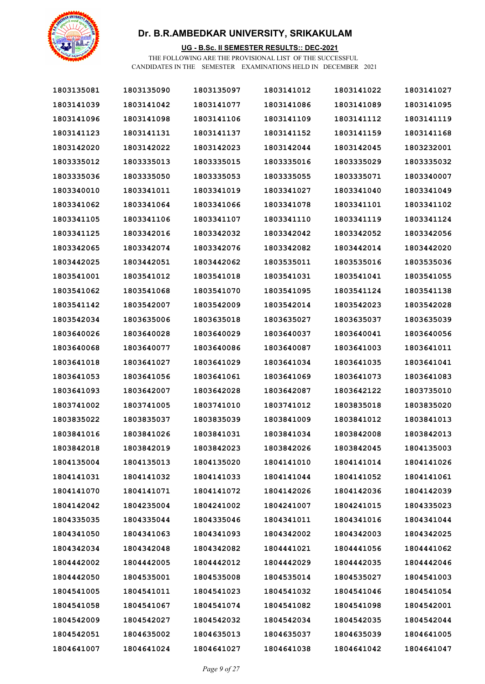

### **UG - B.Sc. II SEMESTER RESULTS:: DEC-2021**

| 1803135081 | 1803135090 | 1803135097 | 1803141012 | 1803141022 | 1803141027 |
|------------|------------|------------|------------|------------|------------|
| 1803141039 | 1803141042 | 1803141077 | 1803141086 | 1803141089 | 1803141095 |
| 1803141096 | 1803141098 | 1803141106 | 1803141109 | 1803141112 | 1803141119 |
| 1803141123 | 1803141131 | 1803141137 | 1803141152 | 1803141159 | 1803141168 |
| 1803142020 | 1803142022 | 1803142023 | 1803142044 | 1803142045 | 1803232001 |
| 1803335012 | 1803335013 | 1803335015 | 1803335016 | 1803335029 | 1803335032 |
| 1803335036 | 1803335050 | 1803335053 | 1803335055 | 1803335071 | 1803340007 |
| 1803340010 | 1803341011 | 1803341019 | 1803341027 | 1803341040 | 1803341049 |
| 1803341062 | 1803341064 | 1803341066 | 1803341078 | 1803341101 | 1803341102 |
| 1803341105 | 1803341106 | 1803341107 | 1803341110 | 1803341119 | 1803341124 |
| 1803341125 | 1803342016 | 1803342032 | 1803342042 | 1803342052 | 1803342056 |
| 1803342065 | 1803342074 | 1803342076 | 1803342082 | 1803442014 | 1803442020 |
| 1803442025 | 1803442051 | 1803442062 | 1803535011 | 1803535016 | 1803535036 |
| 1803541001 | 1803541012 | 1803541018 | 1803541031 | 1803541041 | 1803541055 |
| 1803541062 | 1803541068 | 1803541070 | 1803541095 | 1803541124 | 1803541138 |
| 1803541142 | 1803542007 | 1803542009 | 1803542014 | 1803542023 | 1803542028 |
| 1803542034 | 1803635006 | 1803635018 | 1803635027 | 1803635037 | 1803635039 |
| 1803640026 | 1803640028 | 1803640029 | 1803640037 | 1803640041 | 1803640056 |
| 1803640068 | 1803640077 | 1803640086 | 1803640087 | 1803641003 | 1803641011 |
| 1803641018 | 1803641027 | 1803641029 | 1803641034 | 1803641035 | 1803641041 |
| 1803641053 | 1803641056 | 1803641061 | 1803641069 | 1803641073 | 1803641083 |
| 1803641093 | 1803642007 | 1803642028 | 1803642087 | 1803642122 | 1803735010 |
| 1803741002 | 1803741005 | 1803741010 | 1803741012 | 1803835018 | 1803835020 |
| 1803835022 | 1803835037 | 1803835039 | 1803841009 | 1803841012 | 1803841013 |
| 1803841016 | 1803841026 | 1803841031 | 1803841034 | 1803842008 | 1803842013 |
| 1803842018 | 1803842019 | 1803842023 | 1803842026 | 1803842045 | 1804135003 |
| 1804135004 | 1804135013 | 1804135020 | 1804141010 | 1804141014 | 1804141026 |
| 1804141031 | 1804141032 | 1804141033 | 1804141044 | 1804141052 | 1804141061 |
| 1804141070 | 1804141071 | 1804141072 | 1804142026 | 1804142036 | 1804142039 |
| 1804142042 | 1804235004 | 1804241002 | 1804241007 | 1804241015 | 1804335023 |
| 1804335035 | 1804335044 | 1804335046 | 1804341011 | 1804341016 | 1804341044 |
| 1804341050 | 1804341063 | 1804341093 | 1804342002 | 1804342003 | 1804342025 |
| 1804342034 | 1804342048 | 1804342082 | 1804441021 | 1804441056 | 1804441062 |
| 1804442002 | 1804442005 | 1804442012 | 1804442029 | 1804442035 | 1804442046 |
| 1804442050 | 1804535001 | 1804535008 | 1804535014 | 1804535027 | 1804541003 |
| 1804541005 | 1804541011 | 1804541023 | 1804541032 | 1804541046 | 1804541054 |
| 1804541058 | 1804541067 | 1804541074 | 1804541082 | 1804541098 | 1804542001 |
| 1804542009 | 1804542027 | 1804542032 | 1804542034 | 1804542035 | 1804542044 |
| 1804542051 | 1804635002 | 1804635013 | 1804635037 | 1804635039 | 1804641005 |
| 1804641007 | 1804641024 | 1804641027 | 1804641038 | 1804641042 | 1804641047 |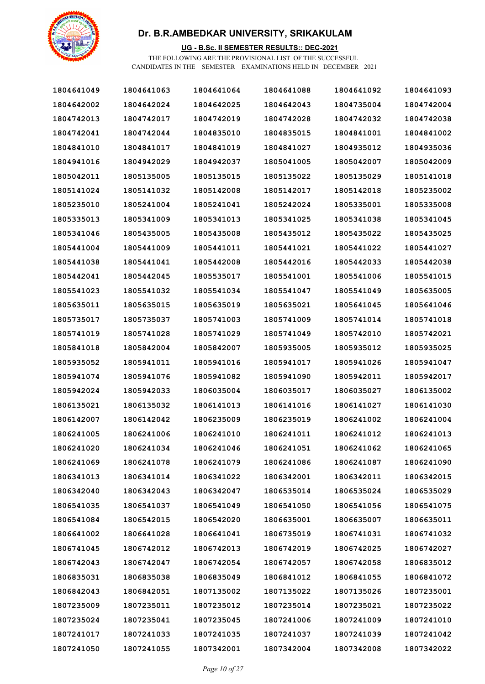

### **UG - B.Sc. II SEMESTER RESULTS:: DEC-2021**

| 1804641049 | 1804641063 | 1804641064 | 1804641088 | 1804641092 | 1804641093 |
|------------|------------|------------|------------|------------|------------|
| 1804642002 | 1804642024 | 1804642025 | 1804642043 | 1804735004 | 1804742004 |
| 1804742013 | 1804742017 | 1804742019 | 1804742028 | 1804742032 | 1804742038 |
| 1804742041 | 1804742044 | 1804835010 | 1804835015 | 1804841001 | 1804841002 |
| 1804841010 | 1804841017 | 1804841019 | 1804841027 | 1804935012 | 1804935036 |
| 1804941016 | 1804942029 | 1804942037 | 1805041005 | 1805042007 | 1805042009 |
| 1805042011 | 1805135005 | 1805135015 | 1805135022 | 1805135029 | 1805141018 |
| 1805141024 | 1805141032 | 1805142008 | 1805142017 | 1805142018 | 1805235002 |
| 1805235010 | 1805241004 | 1805241041 | 1805242024 | 1805335001 | 1805335008 |
| 1805335013 | 1805341009 | 1805341013 | 1805341025 | 1805341038 | 1805341045 |
| 1805341046 | 1805435005 | 1805435008 | 1805435012 | 1805435022 | 1805435025 |
| 1805441004 | 1805441009 | 1805441011 | 1805441021 | 1805441022 | 1805441027 |
| 1805441038 | 1805441041 | 1805442008 | 1805442016 | 1805442033 | 1805442038 |
| 1805442041 | 1805442045 | 1805535017 | 1805541001 | 1805541006 | 1805541015 |
| 1805541023 | 1805541032 | 1805541034 | 1805541047 | 1805541049 | 1805635005 |
| 1805635011 | 1805635015 | 1805635019 | 1805635021 | 1805641045 | 1805641046 |
| 1805735017 | 1805735037 | 1805741003 | 1805741009 | 1805741014 | 1805741018 |
| 1805741019 | 1805741028 | 1805741029 | 1805741049 | 1805742010 | 1805742021 |
| 1805841018 | 1805842004 | 1805842007 | 1805935005 | 1805935012 | 1805935025 |
| 1805935052 | 1805941011 | 1805941016 | 1805941017 | 1805941026 | 1805941047 |
| 1805941074 | 1805941076 | 1805941082 | 1805941090 | 1805942011 | 1805942017 |
| 1805942024 | 1805942033 | 1806035004 | 1806035017 | 1806035027 | 1806135002 |
| 1806135021 | 1806135032 | 1806141013 | 1806141016 | 1806141027 | 1806141030 |
| 1806142007 | 1806142042 | 1806235009 | 1806235019 | 1806241002 | 1806241004 |
| 1806241005 | 1806241006 | 1806241010 | 1806241011 | 1806241012 | 1806241013 |
| 1806241020 | 1806241034 | 1806241046 | 1806241051 | 1806241062 | 1806241065 |
| 1806241069 | 1806241078 | 1806241079 | 1806241086 | 1806241087 | 1806241090 |
| 1806341013 | 1806341014 | 1806341022 | 1806342001 | 1806342011 | 1806342015 |
| 1806342040 | 1806342043 | 1806342047 | 1806535014 | 1806535024 | 1806535029 |
| 1806541035 | 1806541037 | 1806541049 | 1806541050 | 1806541056 | 1806541075 |
| 1806541084 | 1806542015 | 1806542020 | 1806635001 | 1806635007 | 1806635011 |
| 1806641002 | 1806641028 | 1806641041 | 1806735019 | 1806741031 | 1806741032 |
| 1806741045 | 1806742012 | 1806742013 | 1806742019 | 1806742025 | 1806742027 |
| 1806742043 | 1806742047 | 1806742054 | 1806742057 | 1806742058 | 1806835012 |
| 1806835031 | 1806835038 | 1806835049 | 1806841012 | 1806841055 | 1806841072 |
| 1806842043 | 1806842051 | 1807135002 | 1807135022 | 1807135026 | 1807235001 |
| 1807235009 | 1807235011 | 1807235012 | 1807235014 | 1807235021 | 1807235022 |
| 1807235024 | 1807235041 | 1807235045 | 1807241006 | 1807241009 | 1807241010 |
| 1807241017 | 1807241033 | 1807241035 | 1807241037 | 1807241039 | 1807241042 |
| 1807241050 | 1807241055 | 1807342001 | 1807342004 | 1807342008 | 1807342022 |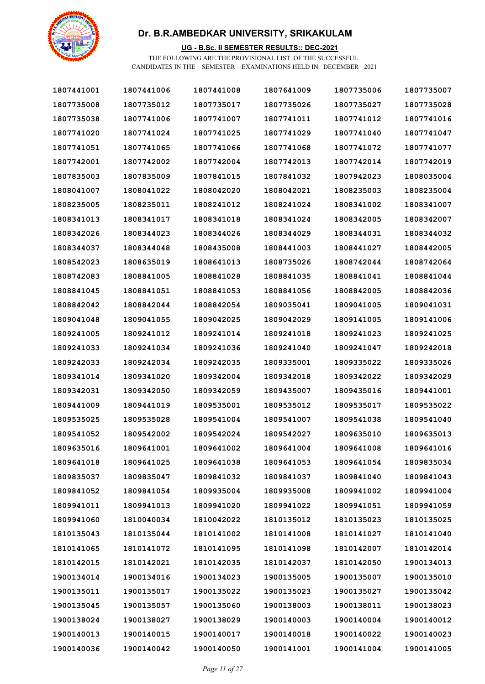

### **UG - B.Sc. II SEMESTER RESULTS:: DEC-2021**

| 1807441001 | 1807441006 | 1807441008 | 1807641009 | 1807735006 | 1807735007 |
|------------|------------|------------|------------|------------|------------|
| 1807735008 | 1807735012 | 1807735017 | 1807735026 | 1807735027 | 1807735028 |
| 1807735038 | 1807741006 | 1807741007 | 1807741011 | 1807741012 | 1807741016 |
| 1807741020 | 1807741024 | 1807741025 | 1807741029 | 1807741040 | 1807741047 |
| 1807741051 | 1807741065 | 1807741066 | 1807741068 | 1807741072 | 1807741077 |
| 1807742001 | 1807742002 | 1807742004 | 1807742013 | 1807742014 | 1807742019 |
| 1807835003 | 1807835009 | 1807841015 | 1807841032 | 1807942023 | 1808035004 |
| 1808041007 | 1808041022 | 1808042020 | 1808042021 | 1808235003 | 1808235004 |
| 1808235005 | 1808235011 | 1808241012 | 1808241024 | 1808341002 | 1808341007 |
| 1808341013 | 1808341017 | 1808341018 | 1808341024 | 1808342005 | 1808342007 |
| 1808342026 | 1808344023 | 1808344026 | 1808344029 | 1808344031 | 1808344032 |
| 1808344037 | 1808344048 | 1808435008 | 1808441003 | 1808441027 | 1808442005 |
| 1808542023 | 1808635019 | 1808641013 | 1808735026 | 1808742044 | 1808742064 |
| 1808742083 | 1808841005 | 1808841028 | 1808841035 | 1808841041 | 1808841044 |
| 1808841045 | 1808841051 | 1808841053 | 1808841056 | 1808842005 | 1808842036 |
| 1808842042 | 1808842044 | 1808842054 | 1809035041 | 1809041005 | 1809041031 |
| 1809041048 | 1809041055 | 1809042025 | 1809042029 | 1809141005 | 1809141006 |
| 1809241005 | 1809241012 | 1809241014 | 1809241018 | 1809241023 | 1809241025 |
| 1809241033 | 1809241034 | 1809241036 | 1809241040 | 1809241047 | 1809242018 |
| 1809242033 | 1809242034 | 1809242035 | 1809335001 | 1809335022 | 1809335026 |
| 1809341014 | 1809341020 | 1809342004 | 1809342018 | 1809342022 | 1809342029 |
| 1809342031 | 1809342050 | 1809342059 | 1809435007 | 1809435016 | 1809441001 |
| 1809441009 | 1809441019 | 1809535001 | 1809535012 | 1809535017 | 1809535022 |
| 1809535025 | 1809535028 | 1809541004 | 1809541007 | 1809541038 | 1809541040 |
| 1809541052 | 1809542002 | 1809542024 | 1809542027 | 1809635010 | 1809635013 |
| 1809635016 | 1809641001 | 1809641002 | 1809641004 | 1809641008 | 1809641016 |
| 1809641018 | 1809641025 | 1809641038 | 1809641053 | 1809641054 | 1809835034 |
| 1809835037 | 1809835047 | 1809841032 | 1809841037 | 1809841040 | 1809841043 |
| 1809841052 | 1809841054 | 1809935004 | 1809935008 | 1809941002 | 1809941004 |
| 1809941011 | 1809941013 | 1809941020 | 1809941022 | 1809941051 | 1809941059 |
| 1809941060 | 1810040034 | 1810042022 | 1810135012 | 1810135023 | 1810135025 |
| 1810135043 | 1810135044 | 1810141002 | 1810141008 | 1810141027 | 1810141040 |
| 1810141065 | 1810141072 | 1810141095 | 1810141098 | 1810142007 | 1810142014 |
| 1810142015 | 1810142021 | 1810142035 | 1810142037 | 1810142050 | 1900134013 |
| 1900134014 | 1900134016 | 1900134023 | 1900135005 | 1900135007 | 1900135010 |
| 1900135011 | 1900135017 | 1900135022 | 1900135023 | 1900135027 | 1900135042 |
| 1900135045 | 1900135057 | 1900135060 | 1900138003 | 1900138011 | 1900138023 |
| 1900138024 | 1900138027 | 1900138029 | 1900140003 | 1900140004 | 1900140012 |
| 1900140013 | 1900140015 | 1900140017 | 1900140018 | 1900140022 | 1900140023 |
| 1900140036 | 1900140042 | 1900140050 | 1900141001 | 1900141004 | 1900141005 |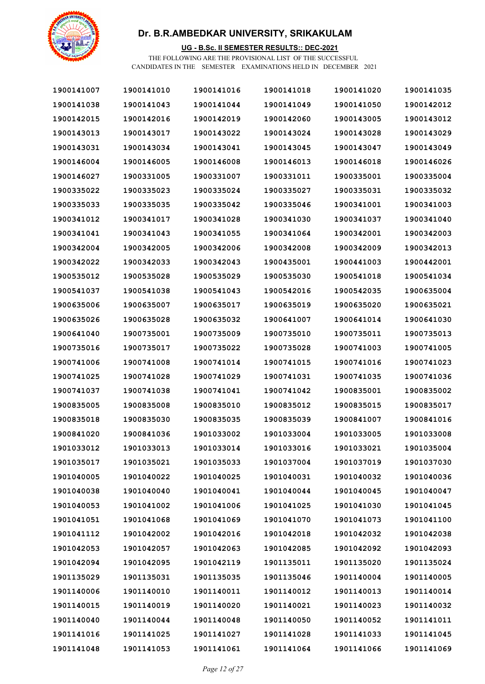

### **UG - B.Sc. II SEMESTER RESULTS:: DEC-2021**

| 1900141007 | 1900141010 | 1900141016 | 1900141018 | 1900141020 | 1900141035 |
|------------|------------|------------|------------|------------|------------|
| 1900141038 | 1900141043 | 1900141044 | 1900141049 | 1900141050 | 1900142012 |
| 1900142015 | 1900142016 | 1900142019 | 1900142060 | 1900143005 | 1900143012 |
| 1900143013 | 1900143017 | 1900143022 | 1900143024 | 1900143028 | 1900143029 |
| 1900143031 | 1900143034 | 1900143041 | 1900143045 | 1900143047 | 1900143049 |
| 1900146004 | 1900146005 | 1900146008 | 1900146013 | 1900146018 | 1900146026 |
| 1900146027 | 1900331005 | 1900331007 | 1900331011 | 1900335001 | 1900335004 |
| 1900335022 | 1900335023 | 1900335024 | 1900335027 | 1900335031 | 1900335032 |
| 1900335033 | 1900335035 | 1900335042 | 1900335046 | 1900341001 | 1900341003 |
| 1900341012 | 1900341017 | 1900341028 | 1900341030 | 1900341037 | 1900341040 |
| 1900341041 | 1900341043 | 1900341055 | 1900341064 | 1900342001 | 1900342003 |
| 1900342004 | 1900342005 | 1900342006 | 1900342008 | 1900342009 | 1900342013 |
| 1900342022 | 1900342033 | 1900342043 | 1900435001 | 1900441003 | 1900442001 |
| 1900535012 | 1900535028 | 1900535029 | 1900535030 | 1900541018 | 1900541034 |
| 1900541037 | 1900541038 | 1900541043 | 1900542016 | 1900542035 | 1900635004 |
| 1900635006 | 1900635007 | 1900635017 | 1900635019 | 1900635020 | 1900635021 |
| 1900635026 | 1900635028 | 1900635032 | 1900641007 | 1900641014 | 1900641030 |
| 1900641040 | 1900735001 | 1900735009 | 1900735010 | 1900735011 | 1900735013 |
| 1900735016 | 1900735017 | 1900735022 | 1900735028 | 1900741003 | 1900741005 |
| 1900741006 | 1900741008 | 1900741014 | 1900741015 | 1900741016 | 1900741023 |
| 1900741025 | 1900741028 | 1900741029 | 1900741031 | 1900741035 | 1900741036 |
| 1900741037 | 1900741038 | 1900741041 | 1900741042 | 1900835001 | 1900835002 |
| 1900835005 | 1900835008 | 1900835010 | 1900835012 | 1900835015 | 1900835017 |
| 1900835018 | 1900835030 | 1900835035 | 1900835039 | 1900841007 | 1900841016 |
| 1900841020 | 1900841036 | 1901033002 | 1901033004 | 1901033005 | 1901033008 |
| 1901033012 | 1901033013 | 1901033014 | 1901033016 | 1901033021 | 1901035004 |
| 1901035017 | 1901035021 | 1901035033 | 1901037004 | 1901037019 | 1901037030 |
| 1901040005 | 1901040022 | 1901040025 | 1901040031 | 1901040032 | 1901040036 |
| 1901040038 | 1901040040 | 1901040041 | 1901040044 | 1901040045 | 1901040047 |
| 1901040053 | 1901041002 | 1901041006 | 1901041025 | 1901041030 | 1901041045 |
| 1901041051 | 1901041068 | 1901041069 | 1901041070 | 1901041073 | 1901041100 |
| 1901041112 | 1901042002 | 1901042016 | 1901042018 | 1901042032 | 1901042038 |
| 1901042053 | 1901042057 | 1901042063 | 1901042085 | 1901042092 | 1901042093 |
| 1901042094 | 1901042095 | 1901042119 | 1901135011 | 1901135020 | 1901135024 |
| 1901135029 | 1901135031 | 1901135035 | 1901135046 | 1901140004 | 1901140005 |
| 1901140006 | 1901140010 | 1901140011 | 1901140012 | 1901140013 | 1901140014 |
| 1901140015 | 1901140019 | 1901140020 | 1901140021 | 1901140023 | 1901140032 |
| 1901140040 | 1901140044 | 1901140048 | 1901140050 | 1901140052 | 1901141011 |
| 1901141016 | 1901141025 | 1901141027 | 1901141028 | 1901141033 | 1901141045 |
| 1901141048 | 1901141053 | 1901141061 | 1901141064 | 1901141066 | 1901141069 |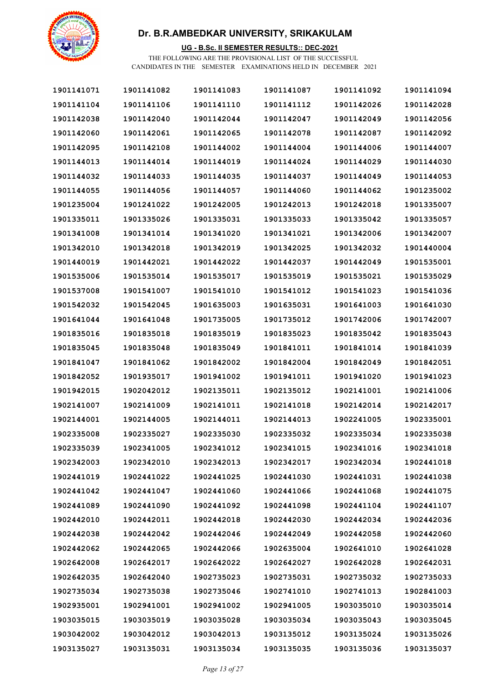

### **UG - B.Sc. II SEMESTER RESULTS:: DEC-2021**

| 1901141071 | 1901141082 | 1901141083 | 1901141087 | 1901141092 | 1901141094 |
|------------|------------|------------|------------|------------|------------|
| 1901141104 | 1901141106 | 1901141110 | 1901141112 | 1901142026 | 1901142028 |
| 1901142038 | 1901142040 | 1901142044 | 1901142047 | 1901142049 | 1901142056 |
| 1901142060 | 1901142061 | 1901142065 | 1901142078 | 1901142087 | 1901142092 |
| 1901142095 | 1901142108 | 1901144002 | 1901144004 | 1901144006 | 1901144007 |
| 1901144013 | 1901144014 | 1901144019 | 1901144024 | 1901144029 | 1901144030 |
| 1901144032 | 1901144033 | 1901144035 | 1901144037 | 1901144049 | 1901144053 |
| 1901144055 | 1901144056 | 1901144057 | 1901144060 | 1901144062 | 1901235002 |
| 1901235004 | 1901241022 | 1901242005 | 1901242013 | 1901242018 | 1901335007 |
| 1901335011 | 1901335026 | 1901335031 | 1901335033 | 1901335042 | 1901335057 |
| 1901341008 | 1901341014 | 1901341020 | 1901341021 | 1901342006 | 1901342007 |
| 1901342010 | 1901342018 | 1901342019 | 1901342025 | 1901342032 | 1901440004 |
| 1901440019 | 1901442021 | 1901442022 | 1901442037 | 1901442049 | 1901535001 |
| 1901535006 | 1901535014 | 1901535017 | 1901535019 | 1901535021 | 1901535029 |
| 1901537008 | 1901541007 | 1901541010 | 1901541012 | 1901541023 | 1901541036 |
| 1901542032 | 1901542045 | 1901635003 | 1901635031 | 1901641003 | 1901641030 |
| 1901641044 | 1901641048 | 1901735005 | 1901735012 | 1901742006 | 1901742007 |
| 1901835016 | 1901835018 | 1901835019 | 1901835023 | 1901835042 | 1901835043 |
| 1901835045 | 1901835048 | 1901835049 | 1901841011 | 1901841014 | 1901841039 |
| 1901841047 | 1901841062 | 1901842002 | 1901842004 | 1901842049 | 1901842051 |
| 1901842052 | 1901935017 | 1901941002 | 1901941011 | 1901941020 | 1901941023 |
| 1901942015 | 1902042012 | 1902135011 | 1902135012 | 1902141001 | 1902141006 |
| 1902141007 | 1902141009 | 1902141011 | 1902141018 | 1902142014 | 1902142017 |
| 1902144001 | 1902144005 | 1902144011 | 1902144013 | 1902241005 | 1902335001 |
| 1902335008 | 1902335027 | 1902335030 | 1902335032 | 1902335034 | 1902335038 |
| 1902335039 | 1902341005 | 1902341012 | 1902341015 | 1902341016 | 1902341018 |
| 1902342003 | 1902342010 | 1902342013 | 1902342017 | 1902342034 | 1902441018 |
| 1902441019 | 1902441022 | 1902441025 | 1902441030 | 1902441031 | 1902441038 |
| 1902441042 | 1902441047 | 1902441060 | 1902441066 | 1902441068 | 1902441075 |
| 1902441089 | 1902441090 | 1902441092 | 1902441098 | 1902441104 | 1902441107 |
| 1902442010 | 1902442011 | 1902442018 | 1902442030 | 1902442034 | 1902442036 |
| 1902442038 | 1902442042 | 1902442046 | 1902442049 | 1902442058 | 1902442060 |
| 1902442062 | 1902442065 | 1902442066 | 1902635004 | 1902641010 | 1902641028 |
| 1902642008 | 1902642017 | 1902642022 | 1902642027 | 1902642028 | 1902642031 |
| 1902642035 | 1902642040 | 1902735023 | 1902735031 | 1902735032 | 1902735033 |
| 1902735034 | 1902735038 | 1902735046 | 1902741010 | 1902741013 | 1902841003 |
| 1902935001 | 1902941001 | 1902941002 | 1902941005 | 1903035010 | 1903035014 |
| 1903035015 | 1903035019 | 1903035028 | 1903035034 | 1903035043 | 1903035045 |
| 1903042002 | 1903042012 | 1903042013 | 1903135012 | 1903135024 | 1903135026 |
| 1903135027 | 1903135031 | 1903135034 | 1903135035 | 1903135036 | 1903135037 |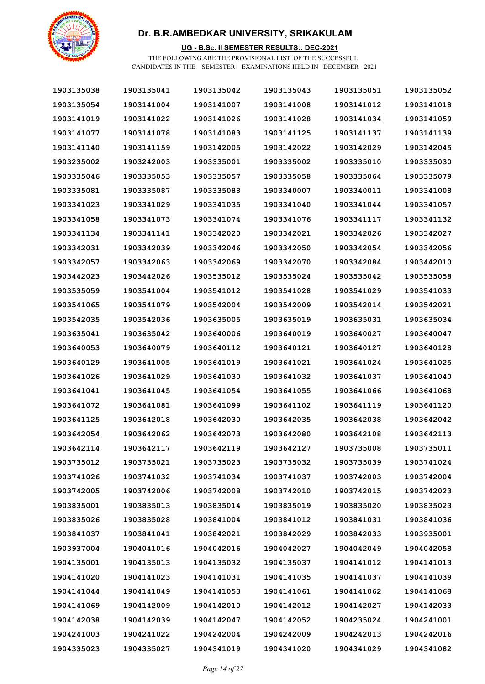

### **UG - B.Sc. II SEMESTER RESULTS:: DEC-2021**

| 1903135038 | 1903135041 | 1903135042 | 1903135043 | 1903135051 | 1903135052 |
|------------|------------|------------|------------|------------|------------|
| 1903135054 | 1903141004 | 1903141007 | 1903141008 | 1903141012 | 1903141018 |
| 1903141019 | 1903141022 | 1903141026 | 1903141028 | 1903141034 | 1903141059 |
| 1903141077 | 1903141078 | 1903141083 | 1903141125 | 1903141137 | 1903141139 |
| 1903141140 | 1903141159 | 1903142005 | 1903142022 | 1903142029 | 1903142045 |
| 1903235002 | 1903242003 | 1903335001 | 1903335002 | 1903335010 | 1903335030 |
| 1903335046 | 1903335053 | 1903335057 | 1903335058 | 1903335064 | 1903335079 |
| 1903335081 | 1903335087 | 1903335088 | 1903340007 | 1903340011 | 1903341008 |
| 1903341023 | 1903341029 | 1903341035 | 1903341040 | 1903341044 | 1903341057 |
| 1903341058 | 1903341073 | 1903341074 | 1903341076 | 1903341117 | 1903341132 |
| 1903341134 | 1903341141 | 1903342020 | 1903342021 | 1903342026 | 1903342027 |
| 1903342031 | 1903342039 | 1903342046 | 1903342050 | 1903342054 | 1903342056 |
| 1903342057 | 1903342063 | 1903342069 | 1903342070 | 1903342084 | 1903442010 |
| 1903442023 | 1903442026 | 1903535012 | 1903535024 | 1903535042 | 1903535058 |
| 1903535059 | 1903541004 | 1903541012 | 1903541028 | 1903541029 | 1903541033 |
| 1903541065 | 1903541079 | 1903542004 | 1903542009 | 1903542014 | 1903542021 |
| 1903542035 | 1903542036 | 1903635005 | 1903635019 | 1903635031 | 1903635034 |
| 1903635041 | 1903635042 | 1903640006 | 1903640019 | 1903640027 | 1903640047 |
| 1903640053 | 1903640079 | 1903640112 | 1903640121 | 1903640127 | 1903640128 |
| 1903640129 | 1903641005 | 1903641019 | 1903641021 | 1903641024 | 1903641025 |
| 1903641026 | 1903641029 | 1903641030 | 1903641032 | 1903641037 | 1903641040 |
| 1903641041 | 1903641045 | 1903641054 | 1903641055 | 1903641066 | 1903641068 |
| 1903641072 | 1903641081 | 1903641099 | 1903641102 | 1903641119 | 1903641120 |
| 1903641125 | 1903642018 | 1903642030 | 1903642035 | 1903642038 | 1903642042 |
| 1903642054 | 1903642062 | 1903642073 | 1903642080 | 1903642108 | 1903642113 |
| 1903642114 | 1903642117 | 1903642119 | 1903642127 | 1903735008 | 1903735011 |
| 1903735012 | 1903735021 | 1903735023 | 1903735032 | 1903735039 | 1903741024 |
| 1903741026 | 1903741032 | 1903741034 | 1903741037 | 1903742003 | 1903742004 |
| 1903742005 | 1903742006 | 1903742008 | 1903742010 | 1903742015 | 1903742023 |
| 1903835001 | 1903835013 | 1903835014 | 1903835019 | 1903835020 | 1903835023 |
| 1903835026 | 1903835028 | 1903841004 | 1903841012 | 1903841031 | 1903841036 |
| 1903841037 | 1903841041 | 1903842021 | 1903842029 | 1903842033 | 1903935001 |
| 1903937004 | 1904041016 | 1904042016 | 1904042027 | 1904042049 | 1904042058 |
| 1904135001 | 1904135013 | 1904135032 | 1904135037 | 1904141012 | 1904141013 |
| 1904141020 | 1904141023 | 1904141031 | 1904141035 | 1904141037 | 1904141039 |
| 1904141044 | 1904141049 | 1904141053 | 1904141061 | 1904141062 | 1904141068 |
| 1904141069 | 1904142009 | 1904142010 | 1904142012 | 1904142027 | 1904142033 |
| 1904142038 | 1904142039 | 1904142047 | 1904142052 | 1904235024 | 1904241001 |
| 1904241003 | 1904241022 | 1904242004 | 1904242009 | 1904242013 | 1904242016 |
| 1904335023 | 1904335027 | 1904341019 | 1904341020 | 1904341029 | 1904341082 |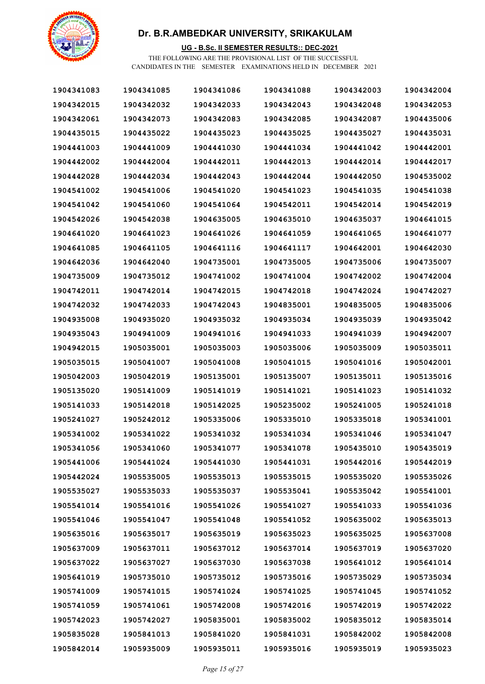

### **UG - B.Sc. II SEMESTER RESULTS:: DEC-2021**

| 1904341083 | 1904341085 | 1904341086 | 1904341088 | 1904342003 | 1904342004 |
|------------|------------|------------|------------|------------|------------|
| 1904342015 | 1904342032 | 1904342033 | 1904342043 | 1904342048 | 1904342053 |
| 1904342061 | 1904342073 | 1904342083 | 1904342085 | 1904342087 | 1904435006 |
| 1904435015 | 1904435022 | 1904435023 | 1904435025 | 1904435027 | 1904435031 |
| 1904441003 | 1904441009 | 1904441030 | 1904441034 | 1904441042 | 1904442001 |
| 1904442002 | 1904442004 | 1904442011 | 1904442013 | 1904442014 | 1904442017 |
| 1904442028 | 1904442034 | 1904442043 | 1904442044 | 1904442050 | 1904535002 |
| 1904541002 | 1904541006 | 1904541020 | 1904541023 | 1904541035 | 1904541038 |
| 1904541042 | 1904541060 | 1904541064 | 1904542011 | 1904542014 | 1904542019 |
| 1904542026 | 1904542038 | 1904635005 | 1904635010 | 1904635037 | 1904641015 |
| 1904641020 | 1904641023 | 1904641026 | 1904641059 | 1904641065 | 1904641077 |
| 1904641085 | 1904641105 | 1904641116 | 1904641117 | 1904642001 | 1904642030 |
| 1904642036 | 1904642040 | 1904735001 | 1904735005 | 1904735006 | 1904735007 |
| 1904735009 | 1904735012 | 1904741002 | 1904741004 | 1904742002 | 1904742004 |
| 1904742011 | 1904742014 | 1904742015 | 1904742018 | 1904742024 | 1904742027 |
| 1904742032 | 1904742033 | 1904742043 | 1904835001 | 1904835005 | 1904835006 |
| 1904935008 | 1904935020 | 1904935032 | 1904935034 | 1904935039 | 1904935042 |
| 1904935043 | 1904941009 | 1904941016 | 1904941033 | 1904941039 | 1904942007 |
| 1904942015 | 1905035001 | 1905035003 | 1905035006 | 1905035009 | 1905035011 |
| 1905035015 | 1905041007 | 1905041008 | 1905041015 | 1905041016 | 1905042001 |
| 1905042003 | 1905042019 | 1905135001 | 1905135007 | 1905135011 | 1905135016 |
| 1905135020 | 1905141009 | 1905141019 | 1905141021 | 1905141023 | 1905141032 |
| 1905141033 | 1905142018 | 1905142025 | 1905235002 | 1905241005 | 1905241018 |
| 1905241027 | 1905242012 | 1905335006 | 1905335010 | 1905335018 | 1905341001 |
| 1905341002 | 1905341022 | 1905341032 | 1905341034 | 1905341046 | 1905341047 |
| 1905341056 | 1905341060 | 1905341077 | 1905341078 | 1905435010 | 1905435019 |
| 1905441006 | 1905441024 | 1905441030 | 1905441031 | 1905442016 | 1905442019 |
| 1905442024 | 1905535005 | 1905535013 | 1905535015 | 1905535020 | 1905535026 |
| 1905535027 | 1905535033 | 1905535037 | 1905535041 | 1905535042 | 1905541001 |
| 1905541014 | 1905541016 | 1905541026 | 1905541027 | 1905541033 | 1905541036 |
| 1905541046 | 1905541047 | 1905541048 | 1905541052 | 1905635002 | 1905635013 |
| 1905635016 | 1905635017 | 1905635019 | 1905635023 | 1905635025 | 1905637008 |
| 1905637009 | 1905637011 | 1905637012 | 1905637014 | 1905637019 | 1905637020 |
| 1905637022 | 1905637027 | 1905637030 | 1905637038 | 1905641012 | 1905641014 |
| 1905641019 | 1905735010 | 1905735012 | 1905735016 | 1905735029 | 1905735034 |
| 1905741009 | 1905741015 | 1905741024 | 1905741025 | 1905741045 | 1905741052 |
| 1905741059 | 1905741061 | 1905742008 | 1905742016 | 1905742019 | 1905742022 |
| 1905742023 | 1905742027 | 1905835001 | 1905835002 | 1905835012 | 1905835014 |
| 1905835028 | 1905841013 | 1905841020 | 1905841031 | 1905842002 | 1905842008 |
| 1905842014 | 1905935009 | 1905935011 | 1905935016 | 1905935019 | 1905935023 |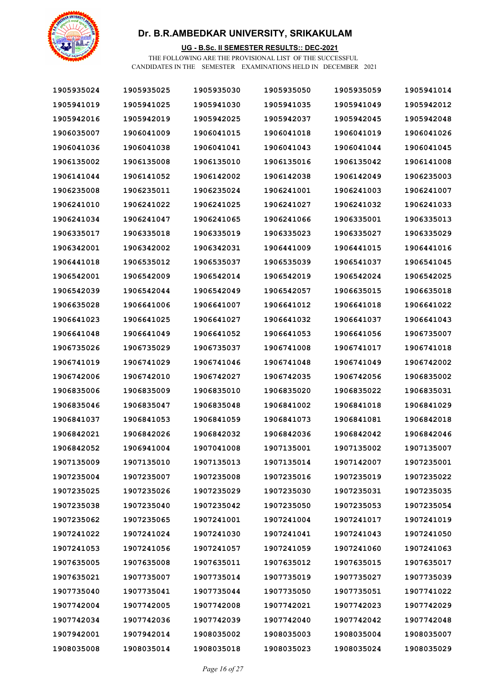

### **UG - B.Sc. II SEMESTER RESULTS:: DEC-2021**

| 1905935024 | 1905935025 | 1905935030 | 1905935050 | 1905935059 | 1905941014 |
|------------|------------|------------|------------|------------|------------|
| 1905941019 | 1905941025 | 1905941030 | 1905941035 | 1905941049 | 1905942012 |
| 1905942016 | 1905942019 | 1905942025 | 1905942037 | 1905942045 | 1905942048 |
| 1906035007 | 1906041009 | 1906041015 | 1906041018 | 1906041019 | 1906041026 |
| 1906041036 | 1906041038 | 1906041041 | 1906041043 | 1906041044 | 1906041045 |
| 1906135002 | 1906135008 | 1906135010 | 1906135016 | 1906135042 | 1906141008 |
| 1906141044 | 1906141052 | 1906142002 | 1906142038 | 1906142049 | 1906235003 |
| 1906235008 | 1906235011 | 1906235024 | 1906241001 | 1906241003 | 1906241007 |
| 1906241010 | 1906241022 | 1906241025 | 1906241027 | 1906241032 | 1906241033 |
| 1906241034 | 1906241047 | 1906241065 | 1906241066 | 1906335001 | 1906335013 |
| 1906335017 | 1906335018 | 1906335019 | 1906335023 | 1906335027 | 1906335029 |
| 1906342001 | 1906342002 | 1906342031 | 1906441009 | 1906441015 | 1906441016 |
| 1906441018 | 1906535012 | 1906535037 | 1906535039 | 1906541037 | 1906541045 |
| 1906542001 | 1906542009 | 1906542014 | 1906542019 | 1906542024 | 1906542025 |
| 1906542039 | 1906542044 | 1906542049 | 1906542057 | 1906635015 | 1906635018 |
| 1906635028 | 1906641006 | 1906641007 | 1906641012 | 1906641018 | 1906641022 |
| 1906641023 | 1906641025 | 1906641027 | 1906641032 | 1906641037 | 1906641043 |
| 1906641048 | 1906641049 | 1906641052 | 1906641053 | 1906641056 | 1906735007 |
| 1906735026 | 1906735029 | 1906735037 | 1906741008 | 1906741017 | 1906741018 |
| 1906741019 | 1906741029 | 1906741046 | 1906741048 | 1906741049 | 1906742002 |
| 1906742006 | 1906742010 | 1906742027 | 1906742035 | 1906742056 | 1906835002 |
| 1906835006 | 1906835009 | 1906835010 | 1906835020 | 1906835022 | 1906835031 |
| 1906835046 | 1906835047 | 1906835048 | 1906841002 | 1906841018 | 1906841029 |
| 1906841037 | 1906841053 | 1906841059 | 1906841073 | 1906841081 | 1906842018 |
| 1906842021 | 1906842026 | 1906842032 | 1906842036 | 1906842042 | 1906842046 |
| 1906842052 | 1906941004 | 1907041008 | 1907135001 | 1907135002 | 1907135007 |
| 1907135009 | 1907135010 | 1907135013 | 1907135014 | 1907142007 | 1907235001 |
| 1907235004 | 1907235007 | 1907235008 | 1907235016 | 1907235019 | 1907235022 |
| 1907235025 | 1907235026 | 1907235029 | 1907235030 | 1907235031 | 1907235035 |
| 1907235038 | 1907235040 | 1907235042 | 1907235050 | 1907235053 | 1907235054 |
| 1907235062 | 1907235065 | 1907241001 | 1907241004 | 1907241017 | 1907241019 |
| 1907241022 | 1907241024 | 1907241030 | 1907241041 | 1907241043 | 1907241050 |
| 1907241053 | 1907241056 | 1907241057 | 1907241059 | 1907241060 | 1907241063 |
| 1907635005 | 1907635008 | 1907635011 | 1907635012 | 1907635015 | 1907635017 |
| 1907635021 | 1907735007 | 1907735014 | 1907735019 | 1907735027 | 1907735039 |
| 1907735040 | 1907735041 | 1907735044 | 1907735050 | 1907735051 | 1907741022 |
| 1907742004 | 1907742005 | 1907742008 | 1907742021 | 1907742023 | 1907742029 |
| 1907742034 | 1907742036 | 1907742039 | 1907742040 | 1907742042 | 1907742048 |
| 1907942001 | 1907942014 | 1908035002 | 1908035003 | 1908035004 | 1908035007 |
| 1908035008 | 1908035014 | 1908035018 | 1908035023 | 1908035024 | 1908035029 |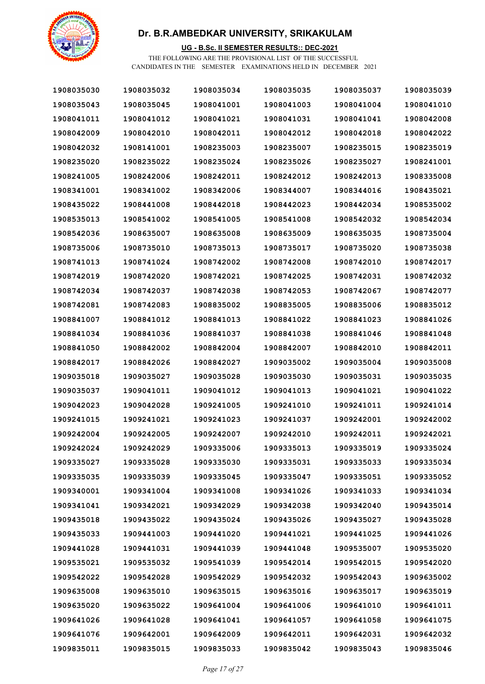

### **UG - B.Sc. II SEMESTER RESULTS:: DEC-2021**

| 1908035030 | 1908035032 | 1908035034 | 1908035035 | 1908035037 | 1908035039 |
|------------|------------|------------|------------|------------|------------|
| 1908035043 | 1908035045 | 1908041001 | 1908041003 | 1908041004 | 1908041010 |
| 1908041011 | 1908041012 | 1908041021 | 1908041031 | 1908041041 | 1908042008 |
| 1908042009 | 1908042010 | 1908042011 | 1908042012 | 1908042018 | 1908042022 |
| 1908042032 | 1908141001 | 1908235003 | 1908235007 | 1908235015 | 1908235019 |
| 1908235020 | 1908235022 | 1908235024 | 1908235026 | 1908235027 | 1908241001 |
| 1908241005 | 1908242006 | 1908242011 | 1908242012 | 1908242013 | 1908335008 |
| 1908341001 | 1908341002 | 1908342006 | 1908344007 | 1908344016 | 1908435021 |
| 1908435022 | 1908441008 | 1908442018 | 1908442023 | 1908442034 | 1908535002 |
| 1908535013 | 1908541002 | 1908541005 | 1908541008 | 1908542032 | 1908542034 |
| 1908542036 | 1908635007 | 1908635008 | 1908635009 | 1908635035 | 1908735004 |
| 1908735006 | 1908735010 | 1908735013 | 1908735017 | 1908735020 | 1908735038 |
| 1908741013 | 1908741024 | 1908742002 | 1908742008 | 1908742010 | 1908742017 |
| 1908742019 | 1908742020 | 1908742021 | 1908742025 | 1908742031 | 1908742032 |
| 1908742034 | 1908742037 | 1908742038 | 1908742053 | 1908742067 | 1908742077 |
| 1908742081 | 1908742083 | 1908835002 | 1908835005 | 1908835006 | 1908835012 |
| 1908841007 | 1908841012 | 1908841013 | 1908841022 | 1908841023 | 1908841026 |
| 1908841034 | 1908841036 | 1908841037 | 1908841038 | 1908841046 | 1908841048 |
| 1908841050 | 1908842002 | 1908842004 | 1908842007 | 1908842010 | 1908842011 |
| 1908842017 | 1908842026 | 1908842027 | 1909035002 | 1909035004 | 1909035008 |
| 1909035018 | 1909035027 | 1909035028 | 1909035030 | 1909035031 | 1909035035 |
| 1909035037 | 1909041011 | 1909041012 | 1909041013 | 1909041021 | 1909041022 |
| 1909042023 | 1909042028 | 1909241005 | 1909241010 | 1909241011 | 1909241014 |
| 1909241015 | 1909241021 | 1909241023 | 1909241037 | 1909242001 | 1909242002 |
| 1909242004 | 1909242005 | 1909242007 | 1909242010 | 1909242011 | 1909242021 |
| 1909242024 | 1909242029 | 1909335006 | 1909335013 | 1909335019 | 1909335024 |
| 1909335027 | 1909335028 | 1909335030 | 1909335031 | 1909335033 | 1909335034 |
| 1909335035 | 1909335039 | 1909335045 | 1909335047 | 1909335051 | 1909335052 |
| 1909340001 | 1909341004 | 1909341008 | 1909341026 | 1909341033 | 1909341034 |
| 1909341041 | 1909342021 | 1909342029 | 1909342038 | 1909342040 | 1909435014 |
| 1909435018 | 1909435022 | 1909435024 | 1909435026 | 1909435027 | 1909435028 |
| 1909435033 | 1909441003 | 1909441020 | 1909441021 | 1909441025 | 1909441026 |
| 1909441028 | 1909441031 | 1909441039 | 1909441048 | 1909535007 | 1909535020 |
| 1909535021 | 1909535032 | 1909541039 | 1909542014 | 1909542015 | 1909542020 |
| 1909542022 | 1909542028 | 1909542029 | 1909542032 | 1909542043 | 1909635002 |
| 1909635008 | 1909635010 | 1909635015 | 1909635016 | 1909635017 | 1909635019 |
| 1909635020 | 1909635022 | 1909641004 | 1909641006 | 1909641010 | 1909641011 |
| 1909641026 | 1909641028 | 1909641041 | 1909641057 | 1909641058 | 1909641075 |
| 1909641076 | 1909642001 | 1909642009 | 1909642011 | 1909642031 | 1909642032 |
| 1909835011 | 1909835015 | 1909835033 | 1909835042 | 1909835043 | 1909835046 |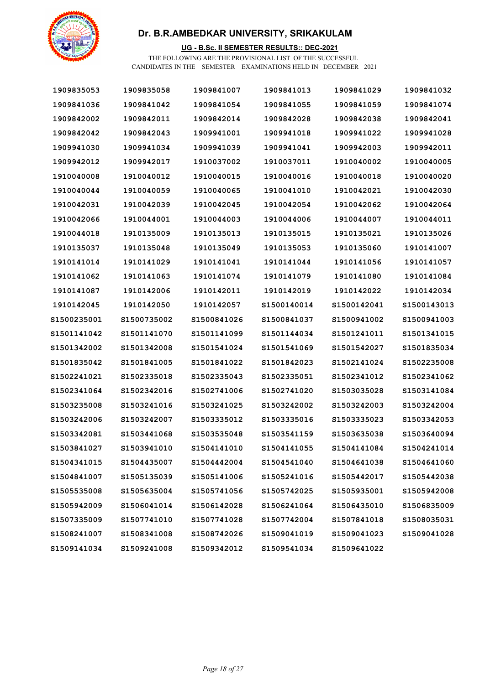

### **UG - B.Sc. II SEMESTER RESULTS:: DEC-2021**

| 1909835053   | 1909835058   | 1909841007   | 1909841013   | 1909841029   | 1909841032   |
|--------------|--------------|--------------|--------------|--------------|--------------|
| 1909841036   | 1909841042   | 1909841054   | 1909841055   | 1909841059   | 1909841074   |
| 1909842002   | 1909842011   | 1909842014   | 1909842028   | 1909842038   | 1909842041   |
| 1909842042   | 1909842043   | 1909941001   | 1909941018   | 1909941022   | 1909941028   |
| 1909941030   | 1909941034   | 1909941039   | 1909941041   | 1909942003   | 1909942011   |
| 1909942012   | 1909942017   | 1910037002   | 1910037011   | 1910040002   | 1910040005   |
| 1910040008   | 1910040012   | 1910040015   | 1910040016   | 1910040018   | 1910040020   |
| 1910040044   | 1910040059   | 1910040065   | 1910041010   | 1910042021   | 1910042030   |
| 1910042031   | 1910042039   | 1910042045   | 1910042054   | 1910042062   | 1910042064   |
| 1910042066   | 1910044001   | 1910044003   | 1910044006   | 1910044007   | 1910044011   |
| 1910044018   | 1910135009   | 1910135013   | 1910135015   | 1910135021   | 1910135026   |
| 1910135037   | 1910135048   | 1910135049   | 1910135053   | 1910135060   | 1910141007   |
| 1910141014   | 1910141029   | 1910141041   | 1910141044   | 1910141056   | 1910141057   |
| 1910141062   | 1910141063   | 1910141074   | 1910141079   | 1910141080   | 1910141084   |
| 1910141087   | 1910142006   | 1910142011   | 1910142019   | 1910142022   | 1910142034   |
| 1910142045   | 1910142050   | 1910142057   | S1500140014  | S1500142041  | S1500143013  |
| S1500235001  | S1500735002  | S1500841026  | \$1500841037 | \$1500941002 | S1500941003  |
| S1501141042  | S1501141070  | S1501141099  | \$1501144034 | \$1501241011 | S1501341015  |
| \$1501342002 | \$1501342008 | S1501541024  | \$1501541069 | S1501542027  | S1501835034  |
| S1501835042  | S1501841005  | S1501841022  | \$1501842023 | \$1502141024 | S1502235008  |
| S1502241021  | \$1502335018 | \$1502335043 | \$1502335051 | \$1502341012 | S1502341062  |
| S1502341064  | \$1502342016 | S1502741006  | S1502741020  | \$1503035028 | S1503141084  |
| \$1503235008 | \$1503241016 | S1503241025  | \$1503242002 | \$1503242003 | S1503242004  |
| S1503242006  | \$1503242007 | S1503335012  | \$1503335016 | \$1503335023 | \$1503342053 |
| S1503342081  | S1503441068  | S1503535048  | S1503541159  | \$1503635038 | S1503640094  |
| \$1503841027 | \$1503941010 | \$1504141010 | \$1504141055 | S1504141084  | \$1504241014 |
| \$1504341015 | \$1504435007 | \$1504442004 | \$1504541040 | \$1504641038 | \$1504641060 |
| \$1504841007 | \$1505135039 | S1505141006  | \$1505241016 | S1505442017  | S1505442038  |
| \$1505535008 | \$1505635004 | S1505741056  | \$1505742025 | S1505935001  | S1505942008  |
| S1505942009  | S1506041014  | S1506142028  | \$1506241064 | \$1506435010 | \$1506835009 |
| \$1507335009 | S1507741010  | S1507741028  | S1507742004  | S1507841018  | \$1508035031 |
| S1508241007  | \$1508341008 | S1508742026  | S1509041019  | \$1509041023 | S1509041028  |
| 81509141034  | \$1509241008 | S1509342012  | S1509541034  | \$1509641022 |              |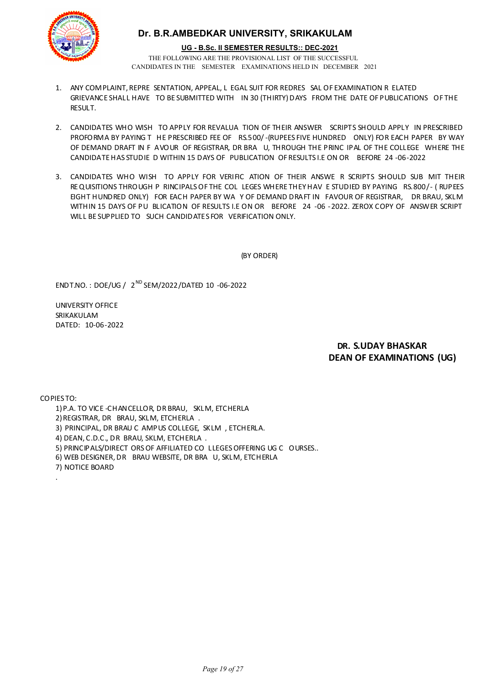

#### **UG - B.Sc. II SEMESTER RESULTS:: DEC-2021**

THE FOLLOWING ARE THE PROVISIONAL LIST OF THE SUCCESSFUL CANDIDATES IN THE SEMESTER EXAMINATIONS HELD IN DECEMBER 2021

- 1. ANY COMPLAINT, REPRE SENTATION, APPEAL, L EGAL SUIT FOR REDRES SAL OF EXAMINATION R ELATED GRIEVANCE SHALL HAVE TO BE SUBMITTED WITH IN 30 (THIRTY) DAYS FROM THE DATE OF PUBLICATIONS OF THE **RESULT.**
- 2. CANDIDATES WHO WISH TO APPLY FOR REVALUA TION OF THEIR ANSWER SCRIPTS SHOULD APPLY IN PRESCRIBED PROFORMA BY PAYING T HE PRESCRIBED FEE OF RS.500/-(RUPEES FIVE HUNDRED ONLY) FOR EACH PAPER BY WAY OF DEMAND DRAFT IN F AVOUR OF REGISTRAR, DR BRA U, THROUGH THE PRINC IPAL OF THE COLLEGE WHERE THE CANDIDATE HAS STUDIE D WITHIN 15 DAYS OF PUBLICATION OF RESULTS I.E ON OR BEFORE 24 -06-2022
- 3. CANDIDATES WHO WISH TO APPLY FOR VERIFIC ATION OF THEIR ANSWE R SCRIPTS SHOULD SUB MIT THEIR REQUISITIONS THROUGH P RINCIPALS OF THE COL LEGES WHERE THEY HAV E STUDIED BY PAYING RS.800/- ( RUPEES EIGHT HUNDRED ONLY) FOR EACH PAPER BY WA Y OF DEMAND DRAFT IN FAVOUR OF REGISTRAR, DR BRAU, SKLM WITHIN 15 DAYS OF PU BLICATION OF RESULTS I.E ON OR BEFORE 24 -06 -2022. ZEROX COPY OF ANSWER SCRIPT WILL BE SUPPLIED TO SUCH CANDIDATES FOR VERIFICATION ONLY.

(BY ORDER)

ENDT.NO. : DOE/UG / 2 ND SEM/2022/DATED 10 -06-2022

UNIVERSITY OFFICE SRIKAKULAM DATED: 10-06-2022

### **DR. S.UDAY BHASKAR DEAN OF EXAMINATIONS (UG)**

COPIES TO:

.

- 1)P.A. TO VICE -CHANCELLOR, DR BRAU, SKLM, ETCHERLA
- 2)REGISTRAR, DR BRAU, SKLM, ETCHERLA .
- 3) PRINCIPAL, DR BRAU C AMPUS COLLEGE, SKLM , ETCHERLA.
- 4) DEAN, C.D.C., DR BRAU, SKLM, ETCHERLA .
- 5) PRINCIPALS/DIRECT ORS OF AFFILIATED CO LLEGES OFFERING UG C OURSES..
- 6) WEB DESIGNER, DR BRAU WEBSITE, DR BRA U, SKLM, ETCHERLA
- 7) NOTICE BOARD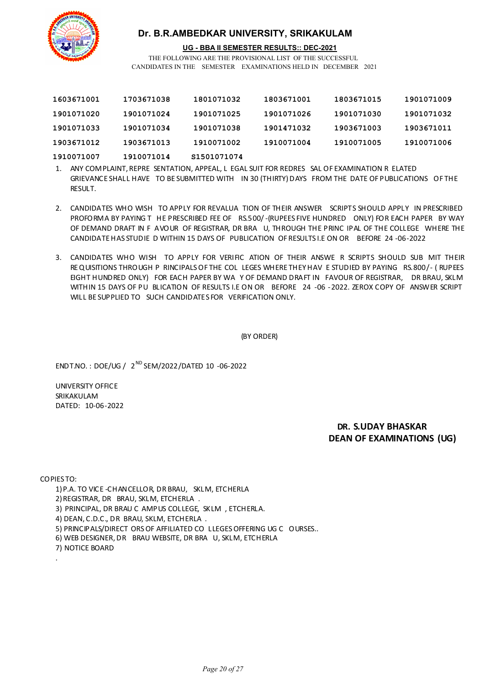

#### **UG - BBA II SEMESTER RESULTS:: DEC-2021**

THE FOLLOWING ARE THE PROVISIONAL LIST OF THE SUCCESSFUL CANDIDATES IN THE SEMESTER EXAMINATIONS HELD IN DECEMBER 2021

| 1603671001 | 1703671038 | 1801071032   | 1803671001 | 1803671015 | 1901071009 |
|------------|------------|--------------|------------|------------|------------|
| 1901071020 | 1901071024 | 1901071025   | 1901071026 | 1901071030 | 1901071032 |
| 1901071033 | 1901071034 | 1901071038   | 1901471032 | 1903671003 | 1903671011 |
| 1903671012 | 1903671013 | 1910071002   | 1910071004 | 1910071005 | 1910071006 |
| 1910071007 | 1910071014 | \$1501071074 |            |            |            |

1. ANY COMPLAINT, REPRE SENTATION, APPEAL, L EGAL SUIT FOR REDRES SAL OF EXAMINATION R ELATED GRIEVANCE SHALL HAVE TO BE SUBMITTED WITH IN 30 (THIRTY) DAYS FROM THE DATE OF PUBLICATIONS OF THE RESULT.

- 2. CANDIDATES WHO WISH TO APPLY FOR REVALUA TION OF THEIR ANSWER SCRIPTS SHOULD APPLY IN PRESCRIBED PROFORMA BY PAYING T HE PRESCRIBED FEE OF RS.500/-(RUPEES FIVE HUNDRED ONLY) FOR EACH PAPER BY WAY OF DEMAND DRAFT IN F AVOUR OF REGISTRAR, DR BRA U, THROUGH THE PRINC IPAL OF THE COLLEGE WHERE THE CANDIDATE HAS STUDIE D WITHIN 15 DAYS OF PUBLICATION OF RESULTS I.E ON OR BEFORE 24 -06-2022
- 3. CANDIDATES WHO WISH TO APPLY FOR VERIFIC ATION OF THEIR ANSWE R SCRIPTS SHOULD SUB MIT THEIR REQUISITIONS THROUGH P RINCIPALS OF THE COL LEGES WHERE THEY HAV E STUDIED BY PAYING RS.800/- ( RUPEES EIGHT HUNDRED ONLY) FOR EACH PAPER BY WA Y OF DEMAND DRAFT IN FAVOUR OF REGISTRAR, DR BRAU, SKLM WITHIN 15 DAYS OF PU BLICATION OF RESULTS I.E ON OR BEFORE 24 -06 -2022. ZEROX COPY OF ANSWER SCRIPT WILL BE SUPPLIED TO SUCH CANDIDATES FOR VERIFICATION ONLY.

(BY ORDER)

ENDT.NO. : DOE/UG / 2 ND SEM/2022/DATED 10 -06-2022

UNIVERSITY OFFICE SRIKAKULAM DATED: 10-06-2022

> **DR. S.UDAY BHASKAR DEAN OF EXAMINATIONS (UG)**

COPIES TO:

.

1)P.A. TO VICE -CHANCELLOR, DR BRAU, SKLM, ETCHERLA

2)REGISTRAR, DR BRAU, SKLM, ETCHERLA .

3) PRINCIPAL, DR BRAU C AMPUS COLLEGE, SKLM , ETCHERLA.

4) DEAN, C.D.C., DR BRAU, SKLM, ETCHERLA .

5) PRINCIPALS/DIRECT ORS OF AFFILIATED CO LLEGES OFFERING UG C OURSES..

6) WEB DESIGNER, DR BRAU WEBSITE, DR BRA U, SKLM, ETCHERLA

7) NOTICE BOARD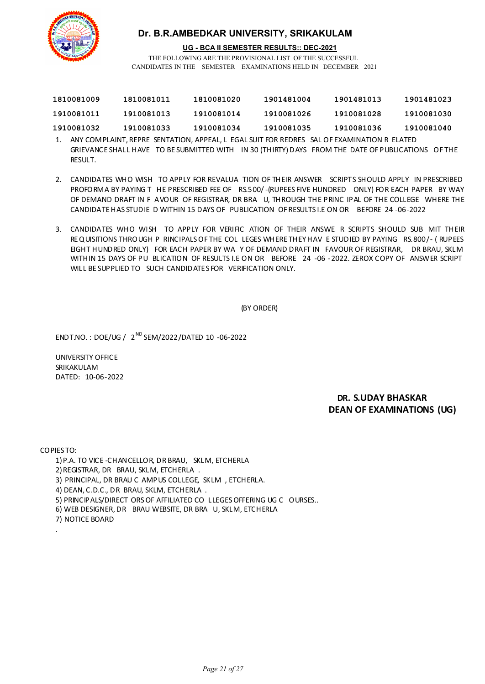

**UG - BCA II SEMESTER RESULTS:: DEC-2021**

THE FOLLOWING ARE THE PROVISIONAL LIST OF THE SUCCESSFUL CANDIDATES IN THE SEMESTER EXAMINATIONS HELD IN DECEMBER 2021

| 1810081009 | 1810081011 | 1810081020 | 1901481004 | 1901481013 | 1901481023 |
|------------|------------|------------|------------|------------|------------|
| 1910081011 | 1910081013 | 1910081014 | 1910081026 | 1910081028 | 1910081030 |
| 1910081032 | 1910081033 | 1910081034 | 1910081035 | 1910081036 | 1910081040 |

- 1. ANY COMPLAINT, REPRE SENTATION, APPEAL, L EGAL SUIT FOR REDRES SAL OF EXAMINATION R ELATED GRIEVANCE SHALL HAVE TO BE SUBMITTED WITH IN 30 (THIRTY) DAYS FROM THE DATE OF PUBLICATIONS OF THE RESULT.
- 2. CANDIDATES WHO WISH TO APPLY FOR REVALUA TION OF THEIR ANSWER SCRIPTS SHOULD APPLY IN PRESCRIBED PROFORMA BY PAYING T HE PRESCRIBED FEE OF RS.500/-(RUPEES FIVE HUNDRED ONLY) FOR EACH PAPER BY WAY OF DEMAND DRAFT IN F AVOUR OF REGISTRAR, DR BRA U, THROUGH THE PRINC IPAL OF THE COLLEGE WHERE THE CANDIDATE HAS STUDIE D WITHIN 15 DAYS OF PUBLICATION OF RESULTS I.E ON OR BEFORE 24 -06-2022
- 3. CANDIDATES WHO WISH TO APPLY FOR VERIFIC ATION OF THEIR ANSWE R SCRIPTS SHOULD SUB MIT THEIR REQUISITIONS THROUGH P RINCIPALS OF THE COL LEGES WHERE THEY HAV E STUDIED BY PAYING RS.800/- ( RUPEES EIGHT HUNDRED ONLY) FOR EACH PAPER BY WA Y OF DEMAND DRAFT IN FAVOUR OF REGISTRAR, DR BRAU, SKLM WITHIN 15 DAYS OF PU BLICATION OF RESULTS I.E ON OR BEFORE 24 -06 -2022. ZEROX COPY OF ANSWER SCRIPT WILL BE SUPPLIED TO SUCH CANDIDATES FOR VERIFICATION ONLY.

(BY ORDER)

ENDT.NO. : DOE/UG / 2 ND SEM/2022/DATED 10 -06-2022

UNIVERSITY OFFICE SRIKAKULAM DATED: 10-06-2022

> **DR. S.UDAY BHASKAR DEAN OF EXAMINATIONS (UG)**

COPIES TO:

.

1)P.A. TO VICE -CHANCELLOR, DR BRAU, SKLM, ETCHERLA 2)REGISTRAR, DR BRAU, SKLM, ETCHERLA . 3) PRINCIPAL, DR BRAU C AMPUS COLLEGE, SKLM , ETCHERLA. 4) DEAN, C.D.C., DR BRAU, SKLM, ETCHERLA . 5) PRINCIPALS/DIRECT ORS OF AFFILIATED CO LLEGES OFFERING UG C OURSES.. 6) WEB DESIGNER, DR BRAU WEBSITE, DR BRA U, SKLM, ETCHERLA 7) NOTICE BOARD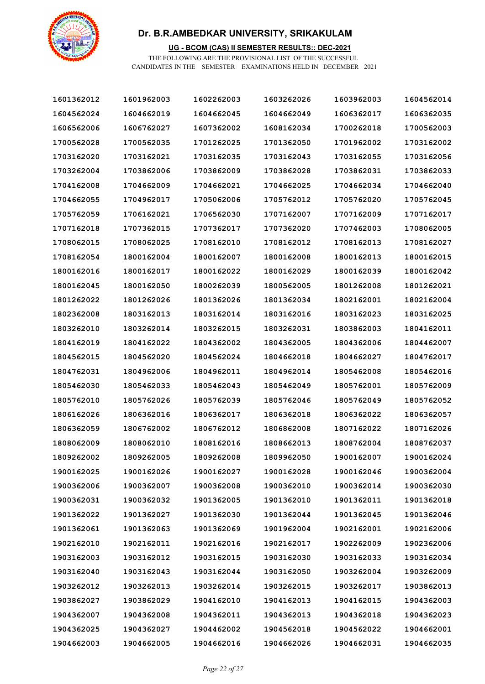

### **UG - BCOM (CAS) II SEMESTER RESULTS:: DEC-2021**

| 1601362012 | 1601962003 | 1602262003 | 1603262026 | 1603962003 | 1604562014 |
|------------|------------|------------|------------|------------|------------|
| 1604562024 | 1604662019 | 1604662045 | 1604662049 | 1606362017 | 1606362035 |
| 1606562006 | 1606762027 | 1607362002 | 1608162034 | 1700262018 | 1700562003 |
| 1700562028 | 1700562035 | 1701262025 | 1701362050 | 1701962002 | 1703162002 |
| 1703162020 | 1703162021 | 1703162035 | 1703162043 | 1703162055 | 1703162056 |
| 1703262004 | 1703862006 | 1703862009 | 1703862028 | 1703862031 | 1703862033 |
| 1704162008 | 1704662009 | 1704662021 | 1704662025 | 1704662034 | 1704662040 |
| 1704662055 | 1704962017 | 1705062006 | 1705762012 | 1705762020 | 1705762045 |
| 1705762059 | 1706162021 | 1706562030 | 1707162007 | 1707162009 | 1707162017 |
| 1707162018 | 1707362015 | 1707362017 | 1707362020 | 1707462003 | 1708062005 |
| 1708062015 | 1708062025 | 1708162010 | 1708162012 | 1708162013 | 1708162027 |
| 1708162054 | 1800162004 | 1800162007 | 1800162008 | 1800162013 | 1800162015 |
| 1800162016 | 1800162017 | 1800162022 | 1800162029 | 1800162039 | 1800162042 |
| 1800162045 | 1800162050 | 1800262039 | 1800562005 | 1801262008 | 1801262021 |
| 1801262022 | 1801262026 | 1801362026 | 1801362034 | 1802162001 | 1802162004 |
| 1802362008 | 1803162013 | 1803162014 | 1803162016 | 1803162023 | 1803162025 |
| 1803262010 | 1803262014 | 1803262015 | 1803262031 | 1803862003 | 1804162011 |
| 1804162019 | 1804162022 | 1804362002 | 1804362005 | 1804362006 | 1804462007 |
| 1804562015 | 1804562020 | 1804562024 | 1804662018 | 1804662027 | 1804762017 |
| 1804762031 | 1804962006 | 1804962011 | 1804962014 | 1805462008 | 1805462016 |
| 1805462030 | 1805462033 | 1805462043 | 1805462049 | 1805762001 | 1805762009 |
| 1805762010 | 1805762026 | 1805762039 | 1805762046 | 1805762049 | 1805762052 |
| 1806162026 | 1806362016 | 1806362017 | 1806362018 | 1806362022 | 1806362057 |
| 1806362059 | 1806762002 | 1806762012 | 1806862008 | 1807162022 | 1807162026 |
| 1808062009 | 1808062010 | 1808162016 | 1808662013 | 1808762004 | 1808762037 |
| 1809262002 | 1809262005 | 1809262008 | 1809962050 | 1900162007 | 1900162024 |
| 1900162025 | 1900162026 | 1900162027 | 1900162028 | 1900162046 | 1900362004 |
| 1900362006 | 1900362007 | 1900362008 | 1900362010 | 1900362014 | 1900362030 |
| 1900362031 | 1900362032 | 1901362005 | 1901362010 | 1901362011 | 1901362018 |
| 1901362022 | 1901362027 | 1901362030 | 1901362044 | 1901362045 | 1901362046 |
| 1901362061 | 1901362063 | 1901362069 | 1901962004 | 1902162001 | 1902162006 |
| 1902162010 | 1902162011 | 1902162016 | 1902162017 | 1902262009 | 1902362006 |
| 1903162003 | 1903162012 | 1903162015 | 1903162030 | 1903162033 | 1903162034 |
| 1903162040 | 1903162043 | 1903162044 | 1903162050 | 1903262004 | 1903262009 |
| 1903262012 | 1903262013 | 1903262014 | 1903262015 | 1903262017 | 1903862013 |
| 1903862027 | 1903862029 | 1904162010 | 1904162013 | 1904162015 | 1904362003 |
| 1904362007 | 1904362008 | 1904362011 | 1904362013 | 1904362018 | 1904362023 |
| 1904362025 | 1904362027 | 1904462002 | 1904562018 | 1904562022 | 1904662001 |
| 1904662003 | 1904662005 | 1904662016 | 1904662026 | 1904662031 | 1904662035 |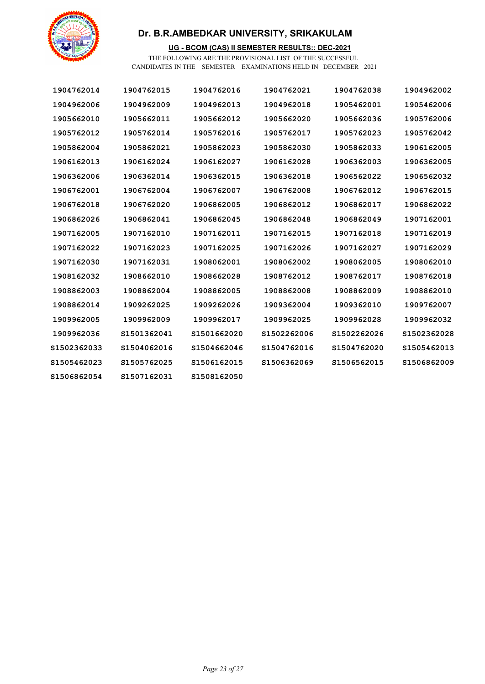

### **UG - BCOM (CAS) II SEMESTER RESULTS:: DEC-2021**

| 1904762014   | 1904762015   | 1904762016   | 1904762021   | 1904762038   | 1904962002   |
|--------------|--------------|--------------|--------------|--------------|--------------|
| 1904962006   | 1904962009   | 1904962013   | 1904962018   | 1905462001   | 1905462006   |
| 1905662010   | 1905662011   | 1905662012   | 1905662020   | 1905662036   | 1905762006   |
| 1905762012   | 1905762014   | 1905762016   | 1905762017   | 1905762023   | 1905762042   |
| 1905862004   | 1905862021   | 1905862023   | 1905862030   | 1905862033   | 1906162005   |
| 1906162013   | 1906162024   | 1906162027   | 1906162028   | 1906362003   | 1906362005   |
| 1906362006   | 1906362014   | 1906362015   | 1906362018   | 1906562022   | 1906562032   |
| 1906762001   | 1906762004   | 1906762007   | 1906762008   | 1906762012   | 1906762015   |
| 1906762018   | 1906762020   | 1906862005   | 1906862012   | 1906862017   | 1906862022   |
| 1906862026   | 1906862041   | 1906862045   | 1906862048   | 1906862049   | 1907162001   |
| 1907162005   | 1907162010   | 1907162011   | 1907162015   | 1907162018   | 1907162019   |
| 1907162022   | 1907162023   | 1907162025   | 1907162026   | 1907162027   | 1907162029   |
| 1907162030   | 1907162031   | 1908062001   | 1908062002   | 1908062005   | 1908062010   |
| 1908162032   | 1908662010   | 1908662028   | 1908762012   | 1908762017   | 1908762018   |
| 1908862003   | 1908862004   | 1908862005   | 1908862008   | 1908862009   | 1908862010   |
| 1908862014   | 1909262025   | 1909262026   | 1909362004   | 1909362010   | 1909762007   |
| 1909962005   | 1909962009   | 1909962017   | 1909962025   | 1909962028   | 1909962032   |
| 1909962036   | S1501362041  | S1501662020  | \$1502262006 | \$1502262026 | \$1502362028 |
| \$1502362033 | S1504062016  | S1504662046  | S1504762016  | S1504762020  | S1505462013  |
| \$1505462023 | S1505762025  | S1506162015  | \$1506362069 | \$1506562015 | \$1506862009 |
| 81506862054  | \$1507162031 | \$1508162050 |              |              |              |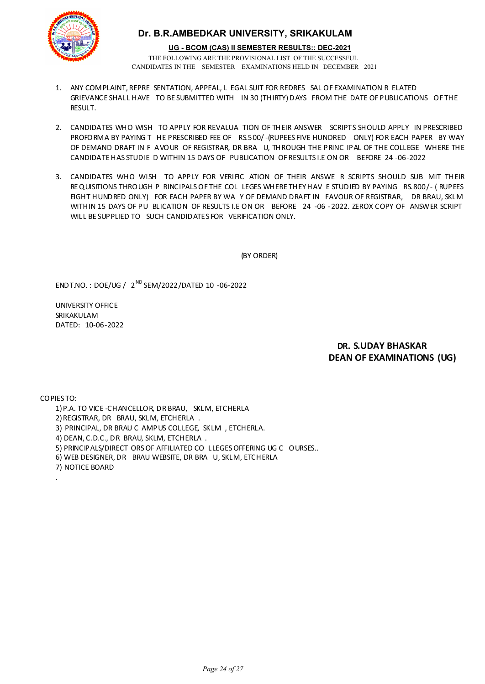

THE FOLLOWING ARE THE PROVISIONAL LIST OF THE SUCCESSFUL **UG - BCOM (CAS) II SEMESTER RESULTS:: DEC-2021**

- CANDIDATES IN THE SEMESTER EXAMINATIONS HELD IN DECEMBER 2021
- 1. ANY COMPLAINT, REPRE SENTATION, APPEAL, L EGAL SUIT FOR REDRES SAL OF EXAMINATION R ELATED GRIEVANCE SHALL HAVE TO BE SUBMITTED WITH IN 30 (THIRTY) DAYS FROM THE DATE OF PUBLICATIONS OF THE **RESULT.**
- 2. CANDIDATES WHO WISH TO APPLY FOR REVALUA TION OF THEIR ANSWER SCRIPTS SHOULD APPLY IN PRESCRIBED PROFORMA BY PAYING T HE PRESCRIBED FEE OF RS.500/-(RUPEES FIVE HUNDRED ONLY) FOR EACH PAPER BY WAY OF DEMAND DRAFT IN F AVOUR OF REGISTRAR, DR BRA U, THROUGH THE PRINC IPAL OF THE COLLEGE WHERE THE CANDIDATE HAS STUDIE D WITHIN 15 DAYS OF PUBLICATION OF RESULTS I.E ON OR BEFORE 24 -06-2022
- 3. CANDIDATES WHO WISH TO APPLY FOR VERIFIC ATION OF THEIR ANSWE R SCRIPTS SHOULD SUB MIT THEIR REQUISITIONS THROUGH P RINCIPALS OF THE COL LEGES WHERE THEY HAV E STUDIED BY PAYING RS.800/- ( RUPEES EIGHT HUNDRED ONLY) FOR EACH PAPER BY WA Y OF DEMAND DRAFT IN FAVOUR OF REGISTRAR, DR BRAU, SKLM WITHIN 15 DAYS OF PU BLICATION OF RESULTS I.E ON OR BEFORE 24 -06 -2022. ZEROX COPY OF ANSWER SCRIPT WILL BE SUPPLIED TO SUCH CANDIDATES FOR VERIFICATION ONLY.

(BY ORDER)

ENDT.NO. : DOE/UG / 2 ND SEM/2022/DATED 10 -06-2022

UNIVERSITY OFFICE SRIKAKULAM DATED: 10-06-2022

### **DR. S.UDAY BHASKAR DEAN OF EXAMINATIONS (UG)**

COPIES TO:

.

- 1)P.A. TO VICE -CHANCELLOR, DR BRAU, SKLM, ETCHERLA
- 2)REGISTRAR, DR BRAU, SKLM, ETCHERLA .
- 3) PRINCIPAL, DR BRAU C AMPUS COLLEGE, SKLM , ETCHERLA.
- 4) DEAN, C.D.C., DR BRAU, SKLM, ETCHERLA .
- 5) PRINCIPALS/DIRECT ORS OF AFFILIATED CO LLEGES OFFERING UG C OURSES..
- 6) WEB DESIGNER, DR BRAU WEBSITE, DR BRA U, SKLM, ETCHERLA
- 7) NOTICE BOARD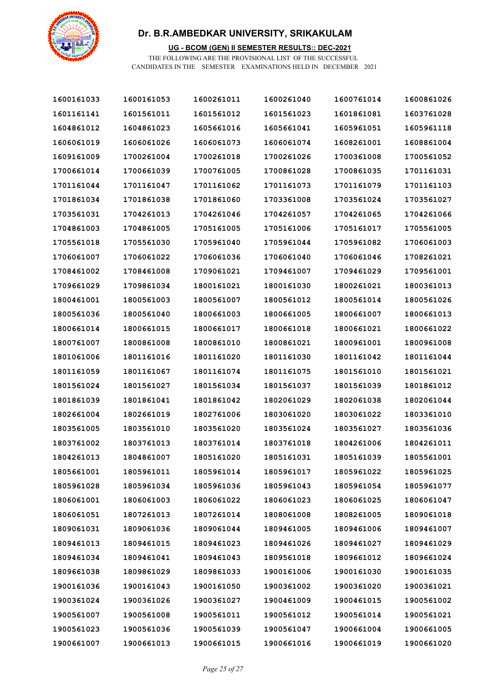

### **UG - BCOM (GEN) II SEMESTER RESULTS:: DEC-2021**

| 1600161033 | 1600161053 | 1600261011 | 1600261040 | 1600761014 | 1600861026 |
|------------|------------|------------|------------|------------|------------|
| 1601161141 | 1601561011 | 1601561012 | 1601561023 | 1601861081 | 1603761028 |
| 1604861012 | 1604861023 | 1605661016 | 1605661041 | 1605961051 | 1605961118 |
| 1606061019 | 1606061026 | 1606061073 | 1606061074 | 1608261001 | 1608861004 |
| 1609161009 | 1700261004 | 1700261018 | 1700261026 | 1700361008 | 1700561052 |
| 1700661014 | 1700661039 | 1700761005 | 1700861028 | 1700861035 | 1701161031 |
| 1701161044 | 1701161047 | 1701161062 | 1701161073 | 1701161079 | 1701161103 |
| 1701861034 | 1701861038 | 1701861060 | 1703361008 | 1703561024 | 1703561027 |
| 1703561031 | 1704261013 | 1704261046 | 1704261057 | 1704261065 | 1704261066 |
| 1704861003 | 1704861005 | 1705161005 | 1705161006 | 1705161017 | 1705561005 |
| 1705561018 | 1705561030 | 1705961040 | 1705961044 | 1705961082 | 1706061003 |
| 1706061007 | 1706061022 | 1706061036 | 1706061040 | 1706061046 | 1708261021 |
| 1708461002 | 1708461008 | 1709061021 | 1709461007 | 1709461029 | 1709561001 |
| 1709661029 | 1709861034 | 1800161021 | 1800161030 | 1800261021 | 1800361013 |
| 1800461001 | 1800561003 | 1800561007 | 1800561012 | 1800561014 | 1800561026 |
| 1800561036 | 1800561040 | 1800661003 | 1800661005 | 1800661007 | 1800661013 |
| 1800661014 | 1800661015 | 1800661017 | 1800661018 | 1800661021 | 1800661022 |
| 1800761007 | 1800861008 | 1800861010 | 1800861021 | 1800961001 | 1800961008 |
| 1801061006 | 1801161016 | 1801161020 | 1801161030 | 1801161042 | 1801161044 |
| 1801161059 | 1801161067 | 1801161074 | 1801161075 | 1801561010 | 1801561021 |
| 1801561024 | 1801561027 | 1801561034 | 1801561037 | 1801561039 | 1801861012 |
| 1801861039 | 1801861041 | 1801861042 | 1802061029 | 1802061038 | 1802061044 |
| 1802661004 | 1802661019 | 1802761006 | 1803061020 | 1803061022 | 1803361010 |
| 1803561005 | 1803561010 | 1803561020 | 1803561024 | 1803561027 | 1803561036 |
| 1803761002 | 1803761013 | 1803761014 | 1803761018 | 1804261006 | 1804261011 |
| 1804261013 | 1804861007 | 1805161020 | 1805161031 | 1805161039 | 1805561001 |
| 1805661001 | 1805961011 | 1805961014 | 1805961017 | 1805961022 | 1805961025 |
| 1805961028 | 1805961034 | 1805961036 | 1805961043 | 1805961054 | 1805961077 |
| 1806061001 | 1806061003 | 1806061022 | 1806061023 | 1806061025 | 1806061047 |
| 1806061051 | 1807261013 | 1807261014 | 1808061008 | 1808261005 | 1809061018 |
| 1809061031 | 1809061036 | 1809061044 | 1809461005 | 1809461006 | 1809461007 |
| 1809461013 | 1809461015 | 1809461023 | 1809461026 | 1809461027 | 1809461029 |
| 1809461034 | 1809461041 | 1809461043 | 1809561018 | 1809661012 | 1809661024 |
| 1809661038 | 1809861029 | 1809861033 | 1900161006 | 1900161030 | 1900161035 |
| 1900161036 | 1900161043 | 1900161050 | 1900361002 | 1900361020 | 1900361021 |
| 1900361024 | 1900361026 | 1900361027 | 1900461009 | 1900461015 | 1900561002 |
| 1900561007 | 1900561008 | 1900561011 | 1900561012 | 1900561014 | 1900561021 |
| 1900561023 | 1900561036 | 1900561039 | 1900561047 | 1900661004 | 1900661005 |
| 1900661007 | 1900661013 | 1900661015 | 1900661016 | 1900661019 | 1900661020 |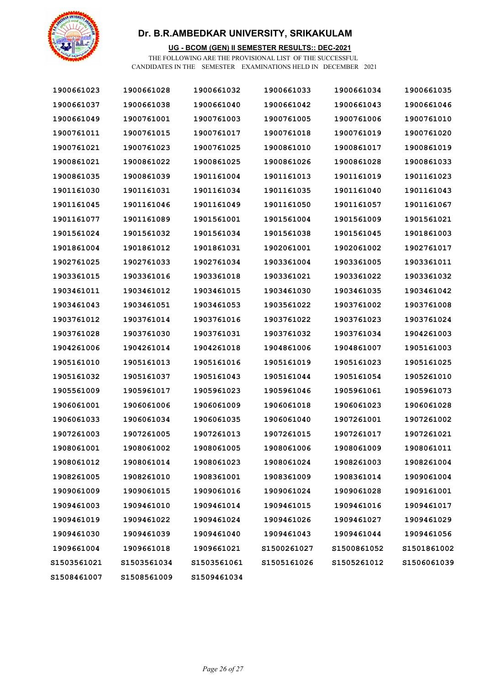

### **UG - BCOM (GEN) II SEMESTER RESULTS:: DEC-2021**

| 1900661023   | 1900661028   | 1900661032  | 1900661033   | 1900661034   | 1900661035  |
|--------------|--------------|-------------|--------------|--------------|-------------|
| 1900661037   | 1900661038   | 1900661040  | 1900661042   | 1900661043   | 1900661046  |
| 1900661049   | 1900761001   | 1900761003  | 1900761005   | 1900761006   | 1900761010  |
| 1900761011   | 1900761015   | 1900761017  | 1900761018   | 1900761019   | 1900761020  |
| 1900761021   | 1900761023   | 1900761025  | 1900861010   | 1900861017   | 1900861019  |
| 1900861021   | 1900861022   | 1900861025  | 1900861026   | 1900861028   | 1900861033  |
| 1900861035   | 1900861039   | 1901161004  | 1901161013   | 1901161019   | 1901161023  |
| 1901161030   | 1901161031   | 1901161034  | 1901161035   | 1901161040   | 1901161043  |
| 1901161045   | 1901161046   | 1901161049  | 1901161050   | 1901161057   | 1901161067  |
| 1901161077   | 1901161089   | 1901561001  | 1901561004   | 1901561009   | 1901561021  |
| 1901561024   | 1901561032   | 1901561034  | 1901561038   | 1901561045   | 1901861003  |
| 1901861004   | 1901861012   | 1901861031  | 1902061001   | 1902061002   | 1902761017  |
| 1902761025   | 1902761033   | 1902761034  | 1903361004   | 1903361005   | 1903361011  |
| 1903361015   | 1903361016   | 1903361018  | 1903361021   | 1903361022   | 1903361032  |
| 1903461011   | 1903461012   | 1903461015  | 1903461030   | 1903461035   | 1903461042  |
| 1903461043   | 1903461051   | 1903461053  | 1903561022   | 1903761002   | 1903761008  |
| 1903761012   | 1903761014   | 1903761016  | 1903761022   | 1903761023   | 1903761024  |
| 1903761028   | 1903761030   | 1903761031  | 1903761032   | 1903761034   | 1904261003  |
| 1904261006   | 1904261014   | 1904261018  | 1904861006   | 1904861007   | 1905161003  |
| 1905161010   | 1905161013   | 1905161016  | 1905161019   | 1905161023   | 1905161025  |
| 1905161032   | 1905161037   | 1905161043  | 1905161044   | 1905161054   | 1905261010  |
| 1905561009   | 1905961017   | 1905961023  | 1905961046   | 1905961061   | 1905961073  |
| 1906061001   | 1906061006   | 1906061009  | 1906061018   | 1906061023   | 1906061028  |
| 1906061033   | 1906061034   | 1906061035  | 1906061040   | 1907261001   | 1907261002  |
| 1907261003   | 1907261005   | 1907261013  | 1907261015   | 1907261017   | 1907261021  |
| 1908061001   | 1908061002   | 1908061005  | 1908061006   | 1908061009   | 1908061011  |
| 1908061012   | 1908061014   | 1908061023  | 1908061024   | 1908261003   | 1908261004  |
| 1908261005   | 1908261010   | 1908361001  | 1908361009   | 1908361014   | 1909061004  |
| 1909061009   | 1909061015   | 1909061016  | 1909061024   | 1909061028   | 1909161001  |
| 1909461003   | 1909461010   | 1909461014  | 1909461015   | 1909461016   | 1909461017  |
| 1909461019   | 1909461022   | 1909461024  | 1909461026   | 1909461027   | 1909461029  |
| 1909461030   | 1909461039   | 1909461040  | 1909461043   | 1909461044   | 1909461056  |
| 1909661004   | 1909661018   | 1909661021  | S1500261027  | \$1500861052 | S1501861002 |
| \$1503561021 | \$1503561034 | S1503561061 | \$1505161026 | \$1505261012 | S1506061039 |
| 81508461007  | \$1508561009 | S1509461034 |              |              |             |